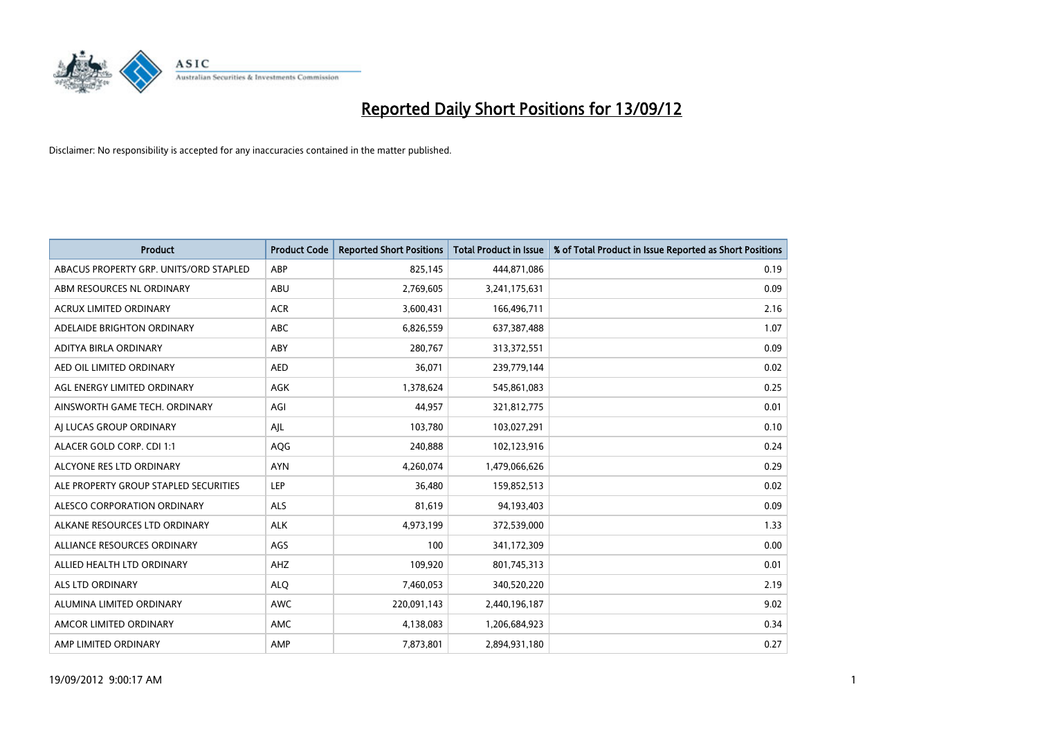

| <b>Product</b>                         | <b>Product Code</b> | <b>Reported Short Positions</b> | <b>Total Product in Issue</b> | % of Total Product in Issue Reported as Short Positions |
|----------------------------------------|---------------------|---------------------------------|-------------------------------|---------------------------------------------------------|
| ABACUS PROPERTY GRP. UNITS/ORD STAPLED | ABP                 | 825,145                         | 444,871,086                   | 0.19                                                    |
| ABM RESOURCES NL ORDINARY              | ABU                 | 2,769,605                       | 3,241,175,631                 | 0.09                                                    |
| <b>ACRUX LIMITED ORDINARY</b>          | <b>ACR</b>          | 3,600,431                       | 166,496,711                   | 2.16                                                    |
| ADELAIDE BRIGHTON ORDINARY             | ABC                 | 6,826,559                       | 637, 387, 488                 | 1.07                                                    |
| ADITYA BIRLA ORDINARY                  | ABY                 | 280,767                         | 313,372,551                   | 0.09                                                    |
| AED OIL LIMITED ORDINARY               | <b>AED</b>          | 36,071                          | 239,779,144                   | 0.02                                                    |
| AGL ENERGY LIMITED ORDINARY            | <b>AGK</b>          | 1,378,624                       | 545,861,083                   | 0.25                                                    |
| AINSWORTH GAME TECH. ORDINARY          | AGI                 | 44,957                          | 321,812,775                   | 0.01                                                    |
| AI LUCAS GROUP ORDINARY                | AJL                 | 103,780                         | 103,027,291                   | 0.10                                                    |
| ALACER GOLD CORP. CDI 1:1              | AQG                 | 240,888                         | 102,123,916                   | 0.24                                                    |
| ALCYONE RES LTD ORDINARY               | <b>AYN</b>          | 4,260,074                       | 1,479,066,626                 | 0.29                                                    |
| ALE PROPERTY GROUP STAPLED SECURITIES  | LEP                 | 36,480                          | 159,852,513                   | 0.02                                                    |
| ALESCO CORPORATION ORDINARY            | <b>ALS</b>          | 81,619                          | 94,193,403                    | 0.09                                                    |
| ALKANE RESOURCES LTD ORDINARY          | <b>ALK</b>          | 4,973,199                       | 372,539,000                   | 1.33                                                    |
| ALLIANCE RESOURCES ORDINARY            | AGS                 | 100                             | 341,172,309                   | 0.00                                                    |
| ALLIED HEALTH LTD ORDINARY             | AHZ                 | 109,920                         | 801,745,313                   | 0.01                                                    |
| <b>ALS LTD ORDINARY</b>                | <b>ALO</b>          | 7,460,053                       | 340,520,220                   | 2.19                                                    |
| ALUMINA LIMITED ORDINARY               | <b>AWC</b>          | 220,091,143                     | 2,440,196,187                 | 9.02                                                    |
| AMCOR LIMITED ORDINARY                 | <b>AMC</b>          | 4,138,083                       | 1,206,684,923                 | 0.34                                                    |
| AMP LIMITED ORDINARY                   | AMP                 | 7,873,801                       | 2,894,931,180                 | 0.27                                                    |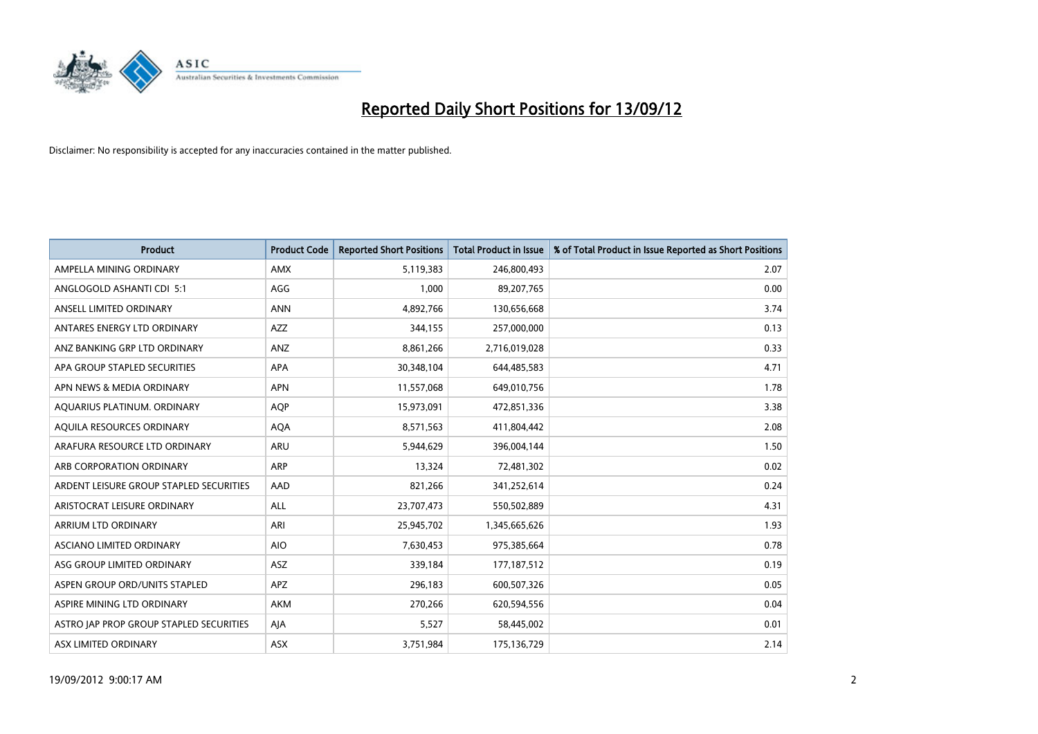

| <b>Product</b>                          | <b>Product Code</b> | <b>Reported Short Positions</b> | <b>Total Product in Issue</b> | % of Total Product in Issue Reported as Short Positions |
|-----------------------------------------|---------------------|---------------------------------|-------------------------------|---------------------------------------------------------|
| AMPELLA MINING ORDINARY                 | <b>AMX</b>          | 5,119,383                       | 246,800,493                   | 2.07                                                    |
| ANGLOGOLD ASHANTI CDI 5:1               | AGG                 | 1,000                           | 89,207,765                    | 0.00                                                    |
| ANSELL LIMITED ORDINARY                 | <b>ANN</b>          | 4,892,766                       | 130,656,668                   | 3.74                                                    |
| ANTARES ENERGY LTD ORDINARY             | <b>AZZ</b>          | 344,155                         | 257,000,000                   | 0.13                                                    |
| ANZ BANKING GRP LTD ORDINARY            | ANZ                 | 8,861,266                       | 2,716,019,028                 | 0.33                                                    |
| APA GROUP STAPLED SECURITIES            | APA                 | 30,348,104                      | 644,485,583                   | 4.71                                                    |
| APN NEWS & MEDIA ORDINARY               | <b>APN</b>          | 11,557,068                      | 649,010,756                   | 1.78                                                    |
| AQUARIUS PLATINUM. ORDINARY             | AQP                 | 15,973,091                      | 472,851,336                   | 3.38                                                    |
| AQUILA RESOURCES ORDINARY               | <b>AQA</b>          | 8,571,563                       | 411,804,442                   | 2.08                                                    |
| ARAFURA RESOURCE LTD ORDINARY           | <b>ARU</b>          | 5,944,629                       | 396,004,144                   | 1.50                                                    |
| ARB CORPORATION ORDINARY                | <b>ARP</b>          | 13,324                          | 72,481,302                    | 0.02                                                    |
| ARDENT LEISURE GROUP STAPLED SECURITIES | AAD                 | 821,266                         | 341,252,614                   | 0.24                                                    |
| ARISTOCRAT LEISURE ORDINARY             | <b>ALL</b>          | 23,707,473                      | 550,502,889                   | 4.31                                                    |
| ARRIUM LTD ORDINARY                     | ARI                 | 25,945,702                      | 1,345,665,626                 | 1.93                                                    |
| ASCIANO LIMITED ORDINARY                | <b>AIO</b>          | 7,630,453                       | 975,385,664                   | 0.78                                                    |
| ASG GROUP LIMITED ORDINARY              | <b>ASZ</b>          | 339,184                         | 177, 187, 512                 | 0.19                                                    |
| ASPEN GROUP ORD/UNITS STAPLED           | APZ                 | 296,183                         | 600,507,326                   | 0.05                                                    |
| ASPIRE MINING LTD ORDINARY              | <b>AKM</b>          | 270,266                         | 620,594,556                   | 0.04                                                    |
| ASTRO JAP PROP GROUP STAPLED SECURITIES | AIA                 | 5,527                           | 58,445,002                    | 0.01                                                    |
| ASX LIMITED ORDINARY                    | <b>ASX</b>          | 3,751,984                       | 175,136,729                   | 2.14                                                    |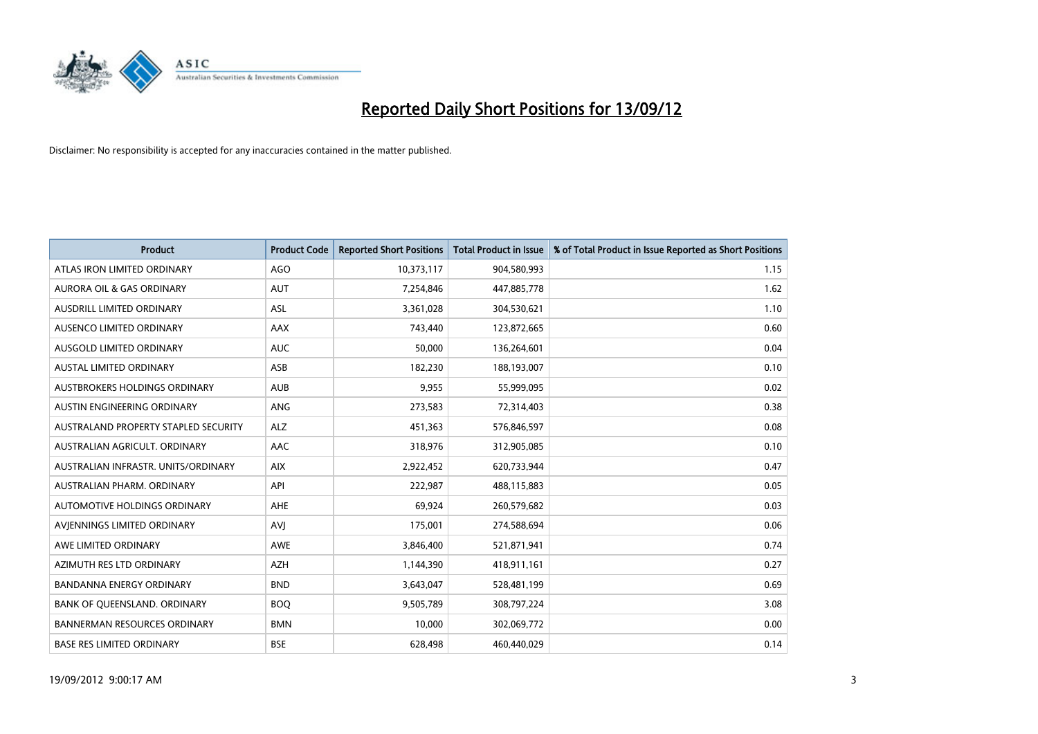

| <b>Product</b>                       | <b>Product Code</b> | <b>Reported Short Positions</b> | <b>Total Product in Issue</b> | % of Total Product in Issue Reported as Short Positions |
|--------------------------------------|---------------------|---------------------------------|-------------------------------|---------------------------------------------------------|
| ATLAS IRON LIMITED ORDINARY          | AGO                 | 10,373,117                      | 904,580,993                   | 1.15                                                    |
| AURORA OIL & GAS ORDINARY            | <b>AUT</b>          | 7,254,846                       | 447,885,778                   | 1.62                                                    |
| <b>AUSDRILL LIMITED ORDINARY</b>     | <b>ASL</b>          | 3,361,028                       | 304,530,621                   | 1.10                                                    |
| AUSENCO LIMITED ORDINARY             | AAX                 | 743,440                         | 123,872,665                   | 0.60                                                    |
| AUSGOLD LIMITED ORDINARY             | <b>AUC</b>          | 50,000                          | 136,264,601                   | 0.04                                                    |
| <b>AUSTAL LIMITED ORDINARY</b>       | ASB                 | 182,230                         | 188,193,007                   | 0.10                                                    |
| AUSTBROKERS HOLDINGS ORDINARY        | <b>AUB</b>          | 9,955                           | 55,999,095                    | 0.02                                                    |
| AUSTIN ENGINEERING ORDINARY          | ANG                 | 273,583                         | 72,314,403                    | 0.38                                                    |
| AUSTRALAND PROPERTY STAPLED SECURITY | <b>ALZ</b>          | 451,363                         | 576,846,597                   | 0.08                                                    |
| AUSTRALIAN AGRICULT, ORDINARY        | AAC                 | 318,976                         | 312,905,085                   | 0.10                                                    |
| AUSTRALIAN INFRASTR. UNITS/ORDINARY  | <b>AIX</b>          | 2,922,452                       | 620,733,944                   | 0.47                                                    |
| <b>AUSTRALIAN PHARM, ORDINARY</b>    | API                 | 222,987                         | 488,115,883                   | 0.05                                                    |
| AUTOMOTIVE HOLDINGS ORDINARY         | AHE                 | 69,924                          | 260,579,682                   | 0.03                                                    |
| AVIENNINGS LIMITED ORDINARY          | AVI                 | 175,001                         | 274,588,694                   | 0.06                                                    |
| AWE LIMITED ORDINARY                 | <b>AWE</b>          | 3,846,400                       | 521,871,941                   | 0.74                                                    |
| AZIMUTH RES LTD ORDINARY             | <b>AZH</b>          | 1,144,390                       | 418,911,161                   | 0.27                                                    |
| BANDANNA ENERGY ORDINARY             | <b>BND</b>          | 3,643,047                       | 528,481,199                   | 0.69                                                    |
| BANK OF QUEENSLAND. ORDINARY         | <b>BOO</b>          | 9,505,789                       | 308,797,224                   | 3.08                                                    |
| <b>BANNERMAN RESOURCES ORDINARY</b>  | <b>BMN</b>          | 10,000                          | 302,069,772                   | 0.00                                                    |
| <b>BASE RES LIMITED ORDINARY</b>     | <b>BSE</b>          | 628,498                         | 460,440,029                   | 0.14                                                    |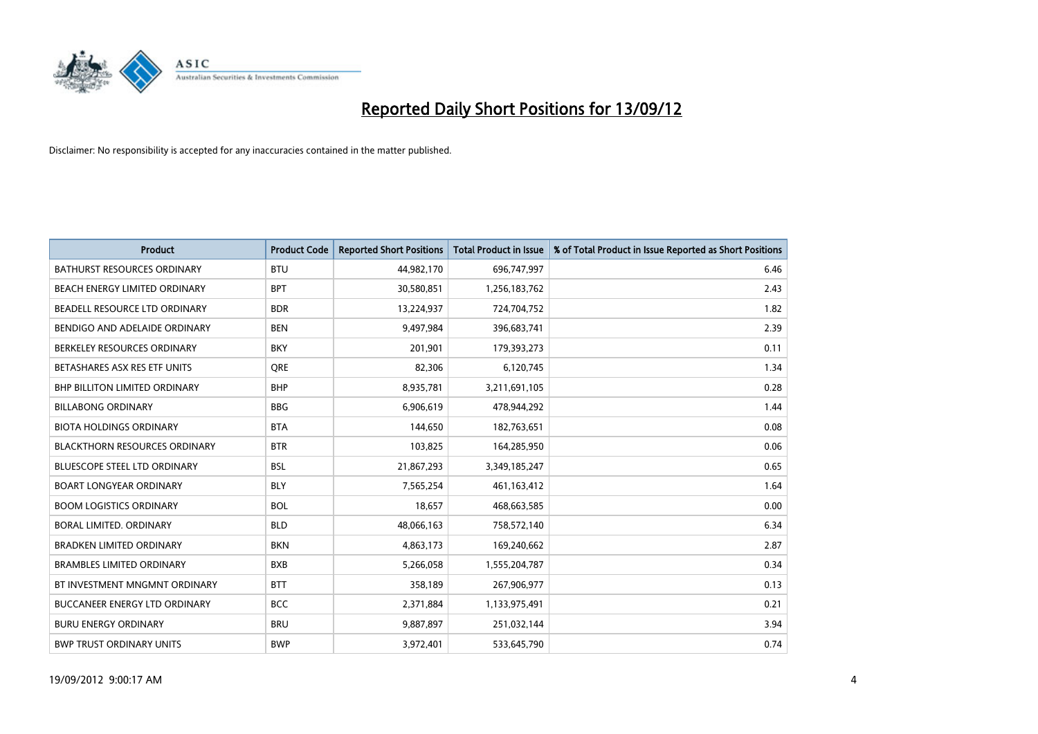

| <b>Product</b>                       | <b>Product Code</b> | <b>Reported Short Positions</b> | <b>Total Product in Issue</b> | % of Total Product in Issue Reported as Short Positions |
|--------------------------------------|---------------------|---------------------------------|-------------------------------|---------------------------------------------------------|
| <b>BATHURST RESOURCES ORDINARY</b>   | <b>BTU</b>          | 44,982,170                      | 696,747,997                   | 6.46                                                    |
| BEACH ENERGY LIMITED ORDINARY        | <b>BPT</b>          | 30,580,851                      | 1,256,183,762                 | 2.43                                                    |
| BEADELL RESOURCE LTD ORDINARY        | <b>BDR</b>          | 13,224,937                      | 724,704,752                   | 1.82                                                    |
| BENDIGO AND ADELAIDE ORDINARY        | <b>BEN</b>          | 9,497,984                       | 396,683,741                   | 2.39                                                    |
| BERKELEY RESOURCES ORDINARY          | <b>BKY</b>          | 201,901                         | 179,393,273                   | 0.11                                                    |
| BETASHARES ASX RES ETF UNITS         | <b>ORE</b>          | 82,306                          | 6,120,745                     | 1.34                                                    |
| <b>BHP BILLITON LIMITED ORDINARY</b> | <b>BHP</b>          | 8,935,781                       | 3,211,691,105                 | 0.28                                                    |
| <b>BILLABONG ORDINARY</b>            | <b>BBG</b>          | 6,906,619                       | 478,944,292                   | 1.44                                                    |
| <b>BIOTA HOLDINGS ORDINARY</b>       | <b>BTA</b>          | 144,650                         | 182,763,651                   | 0.08                                                    |
| <b>BLACKTHORN RESOURCES ORDINARY</b> | <b>BTR</b>          | 103,825                         | 164,285,950                   | 0.06                                                    |
| BLUESCOPE STEEL LTD ORDINARY         | <b>BSL</b>          | 21,867,293                      | 3,349,185,247                 | 0.65                                                    |
| <b>BOART LONGYEAR ORDINARY</b>       | <b>BLY</b>          | 7,565,254                       | 461,163,412                   | 1.64                                                    |
| <b>BOOM LOGISTICS ORDINARY</b>       | <b>BOL</b>          | 18,657                          | 468,663,585                   | 0.00                                                    |
| BORAL LIMITED, ORDINARY              | <b>BLD</b>          | 48,066,163                      | 758,572,140                   | 6.34                                                    |
| <b>BRADKEN LIMITED ORDINARY</b>      | <b>BKN</b>          | 4,863,173                       | 169,240,662                   | 2.87                                                    |
| <b>BRAMBLES LIMITED ORDINARY</b>     | <b>BXB</b>          | 5,266,058                       | 1,555,204,787                 | 0.34                                                    |
| BT INVESTMENT MNGMNT ORDINARY        | <b>BTT</b>          | 358,189                         | 267,906,977                   | 0.13                                                    |
| BUCCANEER ENERGY LTD ORDINARY        | <b>BCC</b>          | 2,371,884                       | 1,133,975,491                 | 0.21                                                    |
| <b>BURU ENERGY ORDINARY</b>          | <b>BRU</b>          | 9,887,897                       | 251,032,144                   | 3.94                                                    |
| <b>BWP TRUST ORDINARY UNITS</b>      | <b>BWP</b>          | 3,972,401                       | 533,645,790                   | 0.74                                                    |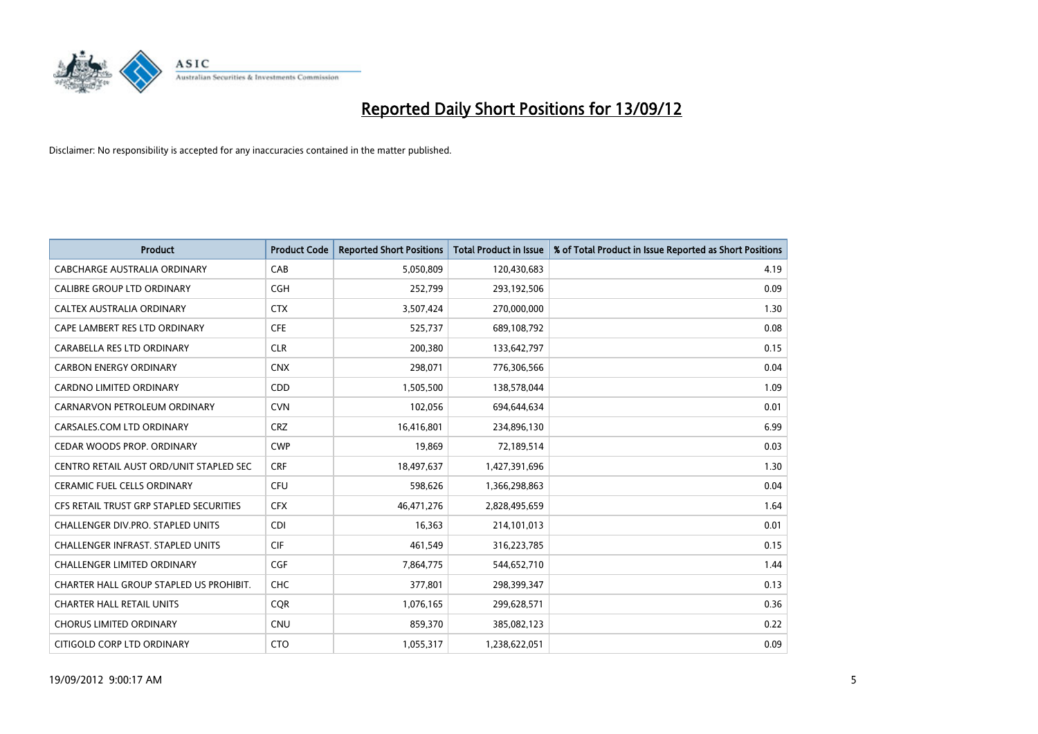

| <b>Product</b>                           | <b>Product Code</b> | <b>Reported Short Positions</b> | <b>Total Product in Issue</b> | % of Total Product in Issue Reported as Short Positions |
|------------------------------------------|---------------------|---------------------------------|-------------------------------|---------------------------------------------------------|
| CABCHARGE AUSTRALIA ORDINARY             | CAB                 | 5,050,809                       | 120,430,683                   | 4.19                                                    |
| CALIBRE GROUP LTD ORDINARY               | <b>CGH</b>          | 252,799                         | 293,192,506                   | 0.09                                                    |
| <b>CALTEX AUSTRALIA ORDINARY</b>         | <b>CTX</b>          | 3,507,424                       | 270,000,000                   | 1.30                                                    |
| CAPE LAMBERT RES LTD ORDINARY            | <b>CFE</b>          | 525,737                         | 689,108,792                   | 0.08                                                    |
| CARABELLA RES LTD ORDINARY               | <b>CLR</b>          | 200,380                         | 133,642,797                   | 0.15                                                    |
| <b>CARBON ENERGY ORDINARY</b>            | <b>CNX</b>          | 298,071                         | 776,306,566                   | 0.04                                                    |
| <b>CARDNO LIMITED ORDINARY</b>           | <b>CDD</b>          | 1,505,500                       | 138,578,044                   | 1.09                                                    |
| CARNARVON PETROLEUM ORDINARY             | <b>CVN</b>          | 102,056                         | 694,644,634                   | 0.01                                                    |
| CARSALES.COM LTD ORDINARY                | <b>CRZ</b>          | 16,416,801                      | 234,896,130                   | 6.99                                                    |
| CEDAR WOODS PROP. ORDINARY               | <b>CWP</b>          | 19,869                          | 72,189,514                    | 0.03                                                    |
| CENTRO RETAIL AUST ORD/UNIT STAPLED SEC  | <b>CRF</b>          | 18,497,637                      | 1,427,391,696                 | 1.30                                                    |
| <b>CERAMIC FUEL CELLS ORDINARY</b>       | <b>CFU</b>          | 598,626                         | 1,366,298,863                 | 0.04                                                    |
| CFS RETAIL TRUST GRP STAPLED SECURITIES  | <b>CFX</b>          | 46,471,276                      | 2,828,495,659                 | 1.64                                                    |
| CHALLENGER DIV.PRO. STAPLED UNITS        | <b>CDI</b>          | 16,363                          | 214,101,013                   | 0.01                                                    |
| <b>CHALLENGER INFRAST. STAPLED UNITS</b> | <b>CIF</b>          | 461,549                         | 316,223,785                   | 0.15                                                    |
| <b>CHALLENGER LIMITED ORDINARY</b>       | <b>CGF</b>          | 7,864,775                       | 544,652,710                   | 1.44                                                    |
| CHARTER HALL GROUP STAPLED US PROHIBIT.  | <b>CHC</b>          | 377,801                         | 298,399,347                   | 0.13                                                    |
| <b>CHARTER HALL RETAIL UNITS</b>         | <b>CQR</b>          | 1,076,165                       | 299,628,571                   | 0.36                                                    |
| <b>CHORUS LIMITED ORDINARY</b>           | <b>CNU</b>          | 859,370                         | 385,082,123                   | 0.22                                                    |
| CITIGOLD CORP LTD ORDINARY               | <b>CTO</b>          | 1,055,317                       | 1,238,622,051                 | 0.09                                                    |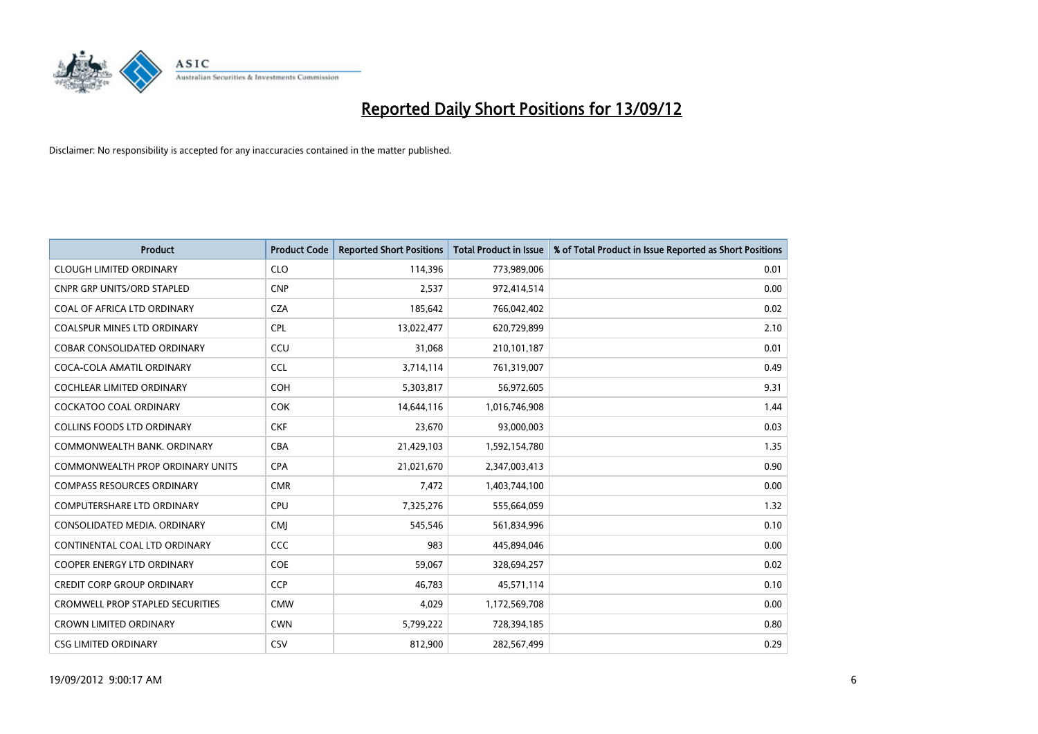

| <b>Product</b>                     | <b>Product Code</b> | <b>Reported Short Positions</b> | <b>Total Product in Issue</b> | % of Total Product in Issue Reported as Short Positions |
|------------------------------------|---------------------|---------------------------------|-------------------------------|---------------------------------------------------------|
| <b>CLOUGH LIMITED ORDINARY</b>     | <b>CLO</b>          | 114,396                         | 773,989,006                   | 0.01                                                    |
| <b>CNPR GRP UNITS/ORD STAPLED</b>  | <b>CNP</b>          | 2,537                           | 972,414,514                   | 0.00                                                    |
| COAL OF AFRICA LTD ORDINARY        | <b>CZA</b>          | 185,642                         | 766,042,402                   | 0.02                                                    |
| COALSPUR MINES LTD ORDINARY        | <b>CPL</b>          | 13,022,477                      | 620,729,899                   | 2.10                                                    |
| <b>COBAR CONSOLIDATED ORDINARY</b> | CCU                 | 31,068                          | 210,101,187                   | 0.01                                                    |
| COCA-COLA AMATIL ORDINARY          | <b>CCL</b>          | 3,714,114                       | 761,319,007                   | 0.49                                                    |
| <b>COCHLEAR LIMITED ORDINARY</b>   | <b>COH</b>          | 5,303,817                       | 56,972,605                    | 9.31                                                    |
| COCKATOO COAL ORDINARY             | <b>COK</b>          | 14,644,116                      | 1,016,746,908                 | 1.44                                                    |
| COLLINS FOODS LTD ORDINARY         | <b>CKF</b>          | 23,670                          | 93,000,003                    | 0.03                                                    |
| COMMONWEALTH BANK, ORDINARY        | <b>CBA</b>          | 21,429,103                      | 1,592,154,780                 | 1.35                                                    |
| COMMONWEALTH PROP ORDINARY UNITS   | <b>CPA</b>          | 21,021,670                      | 2,347,003,413                 | 0.90                                                    |
| <b>COMPASS RESOURCES ORDINARY</b>  | <b>CMR</b>          | 7,472                           | 1,403,744,100                 | 0.00                                                    |
| <b>COMPUTERSHARE LTD ORDINARY</b>  | CPU                 | 7,325,276                       | 555,664,059                   | 1.32                                                    |
| CONSOLIDATED MEDIA, ORDINARY       | <b>CMI</b>          | 545,546                         | 561,834,996                   | 0.10                                                    |
| CONTINENTAL COAL LTD ORDINARY      | CCC                 | 983                             | 445,894,046                   | 0.00                                                    |
| COOPER ENERGY LTD ORDINARY         | <b>COE</b>          | 59,067                          | 328,694,257                   | 0.02                                                    |
| <b>CREDIT CORP GROUP ORDINARY</b>  | <b>CCP</b>          | 46,783                          | 45,571,114                    | 0.10                                                    |
| CROMWELL PROP STAPLED SECURITIES   | <b>CMW</b>          | 4,029                           | 1,172,569,708                 | 0.00                                                    |
| <b>CROWN LIMITED ORDINARY</b>      | <b>CWN</b>          | 5,799,222                       | 728,394,185                   | 0.80                                                    |
| <b>CSG LIMITED ORDINARY</b>        | CSV                 | 812,900                         | 282,567,499                   | 0.29                                                    |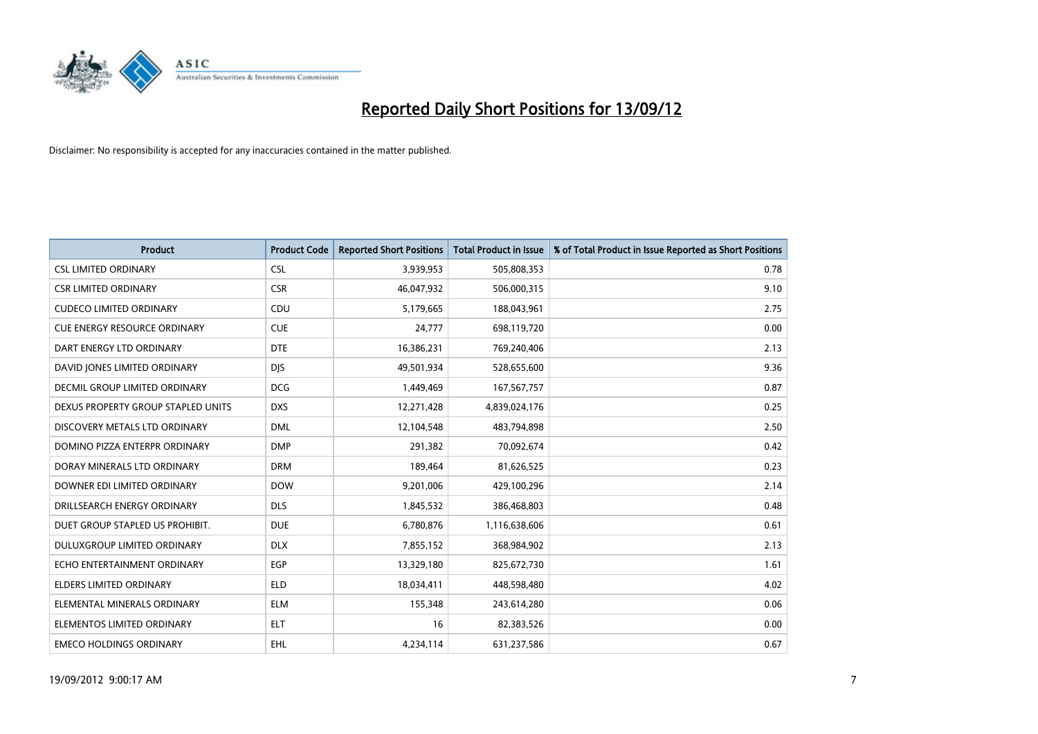

| <b>Product</b>                       | <b>Product Code</b> | <b>Reported Short Positions</b> | <b>Total Product in Issue</b> | % of Total Product in Issue Reported as Short Positions |
|--------------------------------------|---------------------|---------------------------------|-------------------------------|---------------------------------------------------------|
| <b>CSL LIMITED ORDINARY</b>          | <b>CSL</b>          | 3,939,953                       | 505,808,353                   | 0.78                                                    |
| <b>CSR LIMITED ORDINARY</b>          | <b>CSR</b>          | 46,047,932                      | 506,000,315                   | 9.10                                                    |
| <b>CUDECO LIMITED ORDINARY</b>       | CDU                 | 5,179,665                       | 188,043,961                   | 2.75                                                    |
| <b>CUE ENERGY RESOURCE ORDINARY</b>  | <b>CUE</b>          | 24,777                          | 698,119,720                   | 0.00                                                    |
| DART ENERGY LTD ORDINARY             | <b>DTE</b>          | 16,386,231                      | 769,240,406                   | 2.13                                                    |
| DAVID JONES LIMITED ORDINARY         | <b>DJS</b>          | 49,501,934                      | 528,655,600                   | 9.36                                                    |
| <b>DECMIL GROUP LIMITED ORDINARY</b> | <b>DCG</b>          | 1,449,469                       | 167,567,757                   | 0.87                                                    |
| DEXUS PROPERTY GROUP STAPLED UNITS   | <b>DXS</b>          | 12,271,428                      | 4,839,024,176                 | 0.25                                                    |
| DISCOVERY METALS LTD ORDINARY        | <b>DML</b>          | 12,104,548                      | 483,794,898                   | 2.50                                                    |
| DOMINO PIZZA ENTERPR ORDINARY        | <b>DMP</b>          | 291,382                         | 70,092,674                    | 0.42                                                    |
| DORAY MINERALS LTD ORDINARY          | <b>DRM</b>          | 189,464                         | 81,626,525                    | 0.23                                                    |
| DOWNER EDI LIMITED ORDINARY          | <b>DOW</b>          | 9,201,006                       | 429,100,296                   | 2.14                                                    |
| DRILLSEARCH ENERGY ORDINARY          | <b>DLS</b>          | 1,845,532                       | 386,468,803                   | 0.48                                                    |
| DUET GROUP STAPLED US PROHIBIT.      | <b>DUE</b>          | 6,780,876                       | 1,116,638,606                 | 0.61                                                    |
| DULUXGROUP LIMITED ORDINARY          | <b>DLX</b>          | 7,855,152                       | 368,984,902                   | 2.13                                                    |
| ECHO ENTERTAINMENT ORDINARY          | <b>EGP</b>          | 13,329,180                      | 825,672,730                   | 1.61                                                    |
| ELDERS LIMITED ORDINARY              | <b>ELD</b>          | 18,034,411                      | 448,598,480                   | 4.02                                                    |
| ELEMENTAL MINERALS ORDINARY          | <b>ELM</b>          | 155,348                         | 243,614,280                   | 0.06                                                    |
| ELEMENTOS LIMITED ORDINARY           | <b>ELT</b>          | 16                              | 82,383,526                    | 0.00                                                    |
| <b>EMECO HOLDINGS ORDINARY</b>       | <b>EHL</b>          | 4,234,114                       | 631,237,586                   | 0.67                                                    |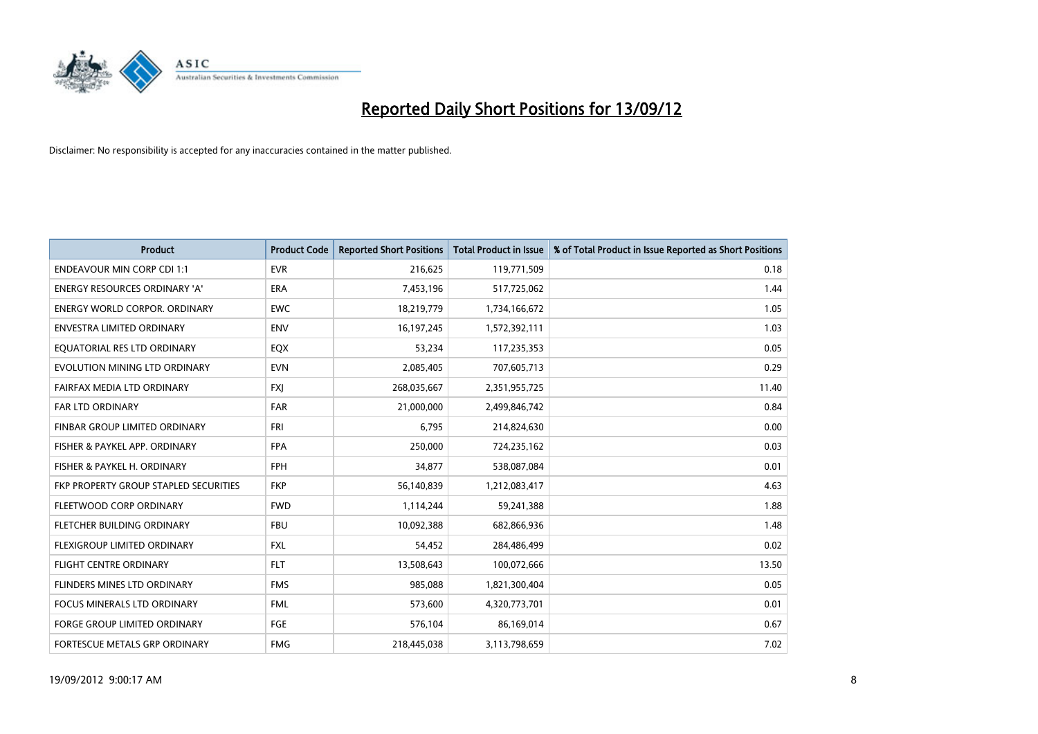

| <b>Product</b>                        | <b>Product Code</b> | <b>Reported Short Positions</b> | <b>Total Product in Issue</b> | % of Total Product in Issue Reported as Short Positions |
|---------------------------------------|---------------------|---------------------------------|-------------------------------|---------------------------------------------------------|
| <b>ENDEAVOUR MIN CORP CDI 1:1</b>     | <b>EVR</b>          | 216,625                         | 119,771,509                   | 0.18                                                    |
| ENERGY RESOURCES ORDINARY 'A'         | <b>ERA</b>          | 7,453,196                       | 517,725,062                   | 1.44                                                    |
| ENERGY WORLD CORPOR, ORDINARY         | <b>EWC</b>          | 18,219,779                      | 1,734,166,672                 | 1.05                                                    |
| ENVESTRA LIMITED ORDINARY             | <b>ENV</b>          | 16, 197, 245                    | 1,572,392,111                 | 1.03                                                    |
| EOUATORIAL RES LTD ORDINARY           | EQX                 | 53,234                          | 117,235,353                   | 0.05                                                    |
| EVOLUTION MINING LTD ORDINARY         | <b>EVN</b>          | 2,085,405                       | 707,605,713                   | 0.29                                                    |
| FAIRFAX MEDIA LTD ORDINARY            | <b>FXI</b>          | 268,035,667                     | 2,351,955,725                 | 11.40                                                   |
| FAR LTD ORDINARY                      | <b>FAR</b>          | 21,000,000                      | 2,499,846,742                 | 0.84                                                    |
| FINBAR GROUP LIMITED ORDINARY         | <b>FRI</b>          | 6,795                           | 214,824,630                   | 0.00                                                    |
| FISHER & PAYKEL APP. ORDINARY         | <b>FPA</b>          | 250,000                         | 724,235,162                   | 0.03                                                    |
| FISHER & PAYKEL H. ORDINARY           | <b>FPH</b>          | 34,877                          | 538,087,084                   | 0.01                                                    |
| FKP PROPERTY GROUP STAPLED SECURITIES | <b>FKP</b>          | 56,140,839                      | 1,212,083,417                 | 4.63                                                    |
| FLEETWOOD CORP ORDINARY               | <b>FWD</b>          | 1,114,244                       | 59,241,388                    | 1.88                                                    |
| FLETCHER BUILDING ORDINARY            | <b>FBU</b>          | 10,092,388                      | 682,866,936                   | 1.48                                                    |
| <b>FLEXIGROUP LIMITED ORDINARY</b>    | <b>FXL</b>          | 54,452                          | 284,486,499                   | 0.02                                                    |
| FLIGHT CENTRE ORDINARY                | <b>FLT</b>          | 13,508,643                      | 100,072,666                   | 13.50                                                   |
| FLINDERS MINES LTD ORDINARY           | <b>FMS</b>          | 985,088                         | 1,821,300,404                 | 0.05                                                    |
| FOCUS MINERALS LTD ORDINARY           | <b>FML</b>          | 573,600                         | 4,320,773,701                 | 0.01                                                    |
| <b>FORGE GROUP LIMITED ORDINARY</b>   | FGE                 | 576,104                         | 86,169,014                    | 0.67                                                    |
| FORTESCUE METALS GRP ORDINARY         | <b>FMG</b>          | 218,445,038                     | 3,113,798,659                 | 7.02                                                    |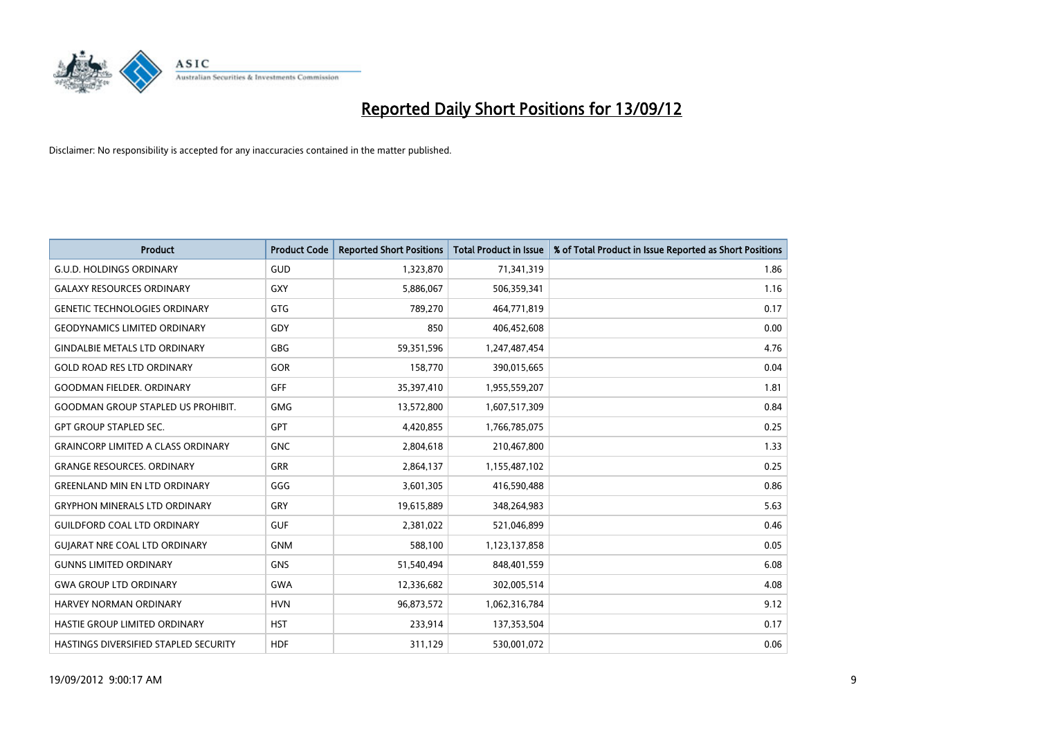

| <b>Product</b>                            | <b>Product Code</b> | <b>Reported Short Positions</b> | <b>Total Product in Issue</b> | % of Total Product in Issue Reported as Short Positions |
|-------------------------------------------|---------------------|---------------------------------|-------------------------------|---------------------------------------------------------|
| <b>G.U.D. HOLDINGS ORDINARY</b>           | GUD                 | 1,323,870                       | 71,341,319                    | 1.86                                                    |
| <b>GALAXY RESOURCES ORDINARY</b>          | <b>GXY</b>          | 5,886,067                       | 506,359,341                   | 1.16                                                    |
| <b>GENETIC TECHNOLOGIES ORDINARY</b>      | <b>GTG</b>          | 789,270                         | 464,771,819                   | 0.17                                                    |
| <b>GEODYNAMICS LIMITED ORDINARY</b>       | GDY                 | 850                             | 406,452,608                   | 0.00                                                    |
| <b>GINDALBIE METALS LTD ORDINARY</b>      | <b>GBG</b>          | 59,351,596                      | 1,247,487,454                 | 4.76                                                    |
| <b>GOLD ROAD RES LTD ORDINARY</b>         | <b>GOR</b>          | 158,770                         | 390,015,665                   | 0.04                                                    |
| <b>GOODMAN FIELDER, ORDINARY</b>          | <b>GFF</b>          | 35,397,410                      | 1,955,559,207                 | 1.81                                                    |
| <b>GOODMAN GROUP STAPLED US PROHIBIT.</b> | <b>GMG</b>          | 13,572,800                      | 1,607,517,309                 | 0.84                                                    |
| <b>GPT GROUP STAPLED SEC.</b>             | <b>GPT</b>          | 4,420,855                       | 1,766,785,075                 | 0.25                                                    |
| <b>GRAINCORP LIMITED A CLASS ORDINARY</b> | <b>GNC</b>          | 2,804,618                       | 210,467,800                   | 1.33                                                    |
| <b>GRANGE RESOURCES. ORDINARY</b>         | <b>GRR</b>          | 2,864,137                       | 1,155,487,102                 | 0.25                                                    |
| <b>GREENLAND MIN EN LTD ORDINARY</b>      | GGG                 | 3,601,305                       | 416,590,488                   | 0.86                                                    |
| <b>GRYPHON MINERALS LTD ORDINARY</b>      | GRY                 | 19,615,889                      | 348,264,983                   | 5.63                                                    |
| <b>GUILDFORD COAL LTD ORDINARY</b>        | <b>GUF</b>          | 2,381,022                       | 521,046,899                   | 0.46                                                    |
| <b>GUIARAT NRE COAL LTD ORDINARY</b>      | <b>GNM</b>          | 588,100                         | 1,123,137,858                 | 0.05                                                    |
| <b>GUNNS LIMITED ORDINARY</b>             | <b>GNS</b>          | 51,540,494                      | 848,401,559                   | 6.08                                                    |
| <b>GWA GROUP LTD ORDINARY</b>             | <b>GWA</b>          | 12,336,682                      | 302,005,514                   | 4.08                                                    |
| HARVEY NORMAN ORDINARY                    | <b>HVN</b>          | 96,873,572                      | 1,062,316,784                 | 9.12                                                    |
| HASTIE GROUP LIMITED ORDINARY             | <b>HST</b>          | 233,914                         | 137,353,504                   | 0.17                                                    |
| HASTINGS DIVERSIFIED STAPLED SECURITY     | <b>HDF</b>          | 311,129                         | 530,001,072                   | 0.06                                                    |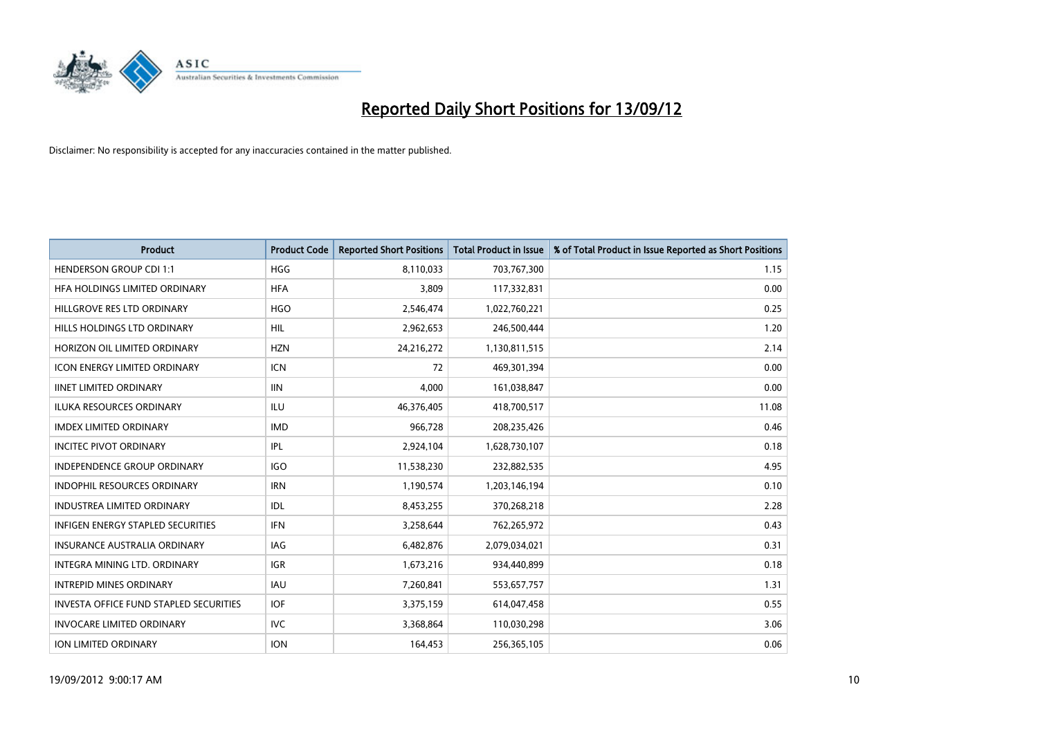

| <b>Product</b>                                | <b>Product Code</b> | <b>Reported Short Positions</b> | <b>Total Product in Issue</b> | % of Total Product in Issue Reported as Short Positions |
|-----------------------------------------------|---------------------|---------------------------------|-------------------------------|---------------------------------------------------------|
| <b>HENDERSON GROUP CDI 1:1</b>                | <b>HGG</b>          | 8,110,033                       | 703,767,300                   | 1.15                                                    |
| HFA HOLDINGS LIMITED ORDINARY                 | <b>HFA</b>          | 3,809                           | 117,332,831                   | 0.00                                                    |
| HILLGROVE RES LTD ORDINARY                    | <b>HGO</b>          | 2,546,474                       | 1,022,760,221                 | 0.25                                                    |
| HILLS HOLDINGS LTD ORDINARY                   | <b>HIL</b>          | 2,962,653                       | 246,500,444                   | 1.20                                                    |
| HORIZON OIL LIMITED ORDINARY                  | <b>HZN</b>          | 24,216,272                      | 1,130,811,515                 | 2.14                                                    |
| <b>ICON ENERGY LIMITED ORDINARY</b>           | <b>ICN</b>          | 72                              | 469,301,394                   | 0.00                                                    |
| <b>IINET LIMITED ORDINARY</b>                 | <b>IIN</b>          | 4,000                           | 161,038,847                   | 0.00                                                    |
| ILUKA RESOURCES ORDINARY                      | ILU                 | 46,376,405                      | 418,700,517                   | 11.08                                                   |
| <b>IMDEX LIMITED ORDINARY</b>                 | <b>IMD</b>          | 966,728                         | 208,235,426                   | 0.46                                                    |
| <b>INCITEC PIVOT ORDINARY</b>                 | <b>IPL</b>          | 2,924,104                       | 1,628,730,107                 | 0.18                                                    |
| INDEPENDENCE GROUP ORDINARY                   | <b>IGO</b>          | 11,538,230                      | 232,882,535                   | 4.95                                                    |
| <b>INDOPHIL RESOURCES ORDINARY</b>            | <b>IRN</b>          | 1,190,574                       | 1,203,146,194                 | 0.10                                                    |
| INDUSTREA LIMITED ORDINARY                    | IDL                 | 8,453,255                       | 370,268,218                   | 2.28                                                    |
| <b>INFIGEN ENERGY STAPLED SECURITIES</b>      | <b>IFN</b>          | 3,258,644                       | 762,265,972                   | 0.43                                                    |
| <b>INSURANCE AUSTRALIA ORDINARY</b>           | IAG                 | 6,482,876                       | 2,079,034,021                 | 0.31                                                    |
| INTEGRA MINING LTD. ORDINARY                  | <b>IGR</b>          | 1,673,216                       | 934,440,899                   | 0.18                                                    |
| <b>INTREPID MINES ORDINARY</b>                | <b>IAU</b>          | 7,260,841                       | 553,657,757                   | 1.31                                                    |
| <b>INVESTA OFFICE FUND STAPLED SECURITIES</b> | <b>IOF</b>          | 3,375,159                       | 614,047,458                   | 0.55                                                    |
| <b>INVOCARE LIMITED ORDINARY</b>              | IVC                 | 3,368,864                       | 110,030,298                   | 3.06                                                    |
| <b>ION LIMITED ORDINARY</b>                   | <b>ION</b>          | 164,453                         | 256,365,105                   | 0.06                                                    |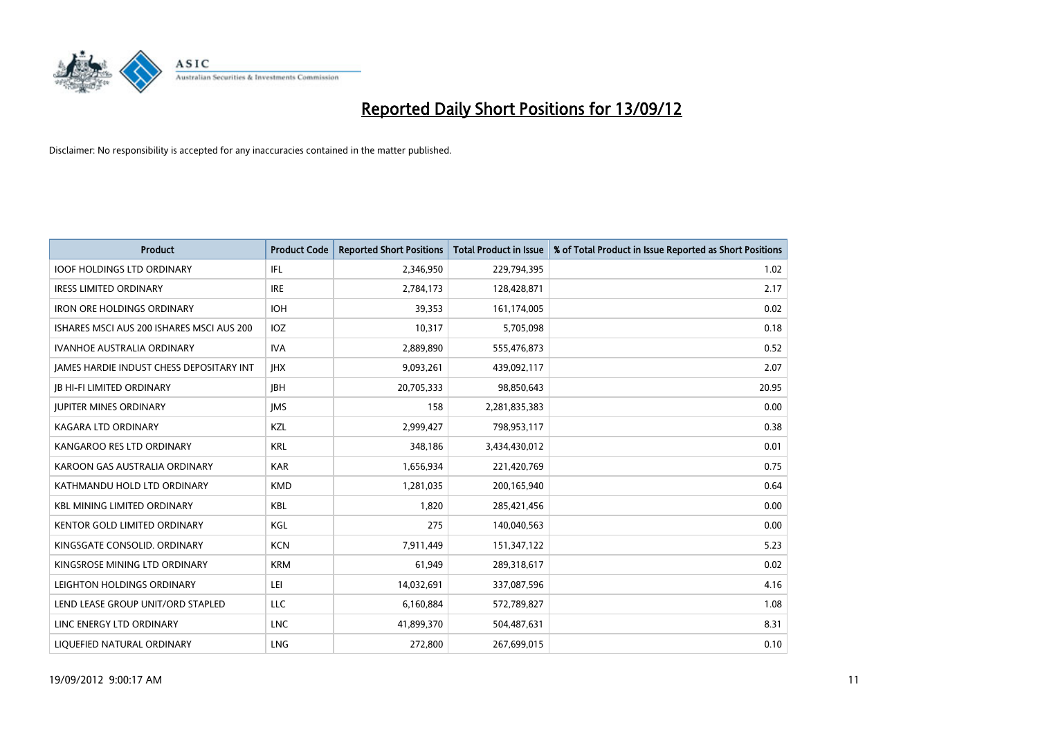

| <b>Product</b>                            | <b>Product Code</b> | <b>Reported Short Positions</b> | <b>Total Product in Issue</b> | % of Total Product in Issue Reported as Short Positions |
|-------------------------------------------|---------------------|---------------------------------|-------------------------------|---------------------------------------------------------|
| <b>IOOF HOLDINGS LTD ORDINARY</b>         | IFL                 | 2,346,950                       | 229,794,395                   | 1.02                                                    |
| <b>IRESS LIMITED ORDINARY</b>             | <b>IRE</b>          | 2,784,173                       | 128,428,871                   | 2.17                                                    |
| <b>IRON ORE HOLDINGS ORDINARY</b>         | <b>IOH</b>          | 39,353                          | 161,174,005                   | 0.02                                                    |
| ISHARES MSCI AUS 200 ISHARES MSCI AUS 200 | IOZ                 | 10,317                          | 5,705,098                     | 0.18                                                    |
| <b>IVANHOE AUSTRALIA ORDINARY</b>         | <b>IVA</b>          | 2,889,890                       | 555,476,873                   | 0.52                                                    |
| JAMES HARDIE INDUST CHESS DEPOSITARY INT  | <b>IHX</b>          | 9,093,261                       | 439,092,117                   | 2.07                                                    |
| <b>IB HI-FI LIMITED ORDINARY</b>          | <b>IBH</b>          | 20,705,333                      | 98,850,643                    | 20.95                                                   |
| <b>JUPITER MINES ORDINARY</b>             | <b>IMS</b>          | 158                             | 2,281,835,383                 | 0.00                                                    |
| KAGARA LTD ORDINARY                       | KZL                 | 2,999,427                       | 798,953,117                   | 0.38                                                    |
| KANGAROO RES LTD ORDINARY                 | <b>KRL</b>          | 348,186                         | 3,434,430,012                 | 0.01                                                    |
| KAROON GAS AUSTRALIA ORDINARY             | <b>KAR</b>          | 1,656,934                       | 221,420,769                   | 0.75                                                    |
| KATHMANDU HOLD LTD ORDINARY               | <b>KMD</b>          | 1,281,035                       | 200,165,940                   | 0.64                                                    |
| <b>KBL MINING LIMITED ORDINARY</b>        | <b>KBL</b>          | 1,820                           | 285,421,456                   | 0.00                                                    |
| <b>KENTOR GOLD LIMITED ORDINARY</b>       | KGL                 | 275                             | 140,040,563                   | 0.00                                                    |
| KINGSGATE CONSOLID. ORDINARY              | <b>KCN</b>          | 7,911,449                       | 151,347,122                   | 5.23                                                    |
| KINGSROSE MINING LTD ORDINARY             | <b>KRM</b>          | 61,949                          | 289,318,617                   | 0.02                                                    |
| LEIGHTON HOLDINGS ORDINARY                | LEI                 | 14,032,691                      | 337,087,596                   | 4.16                                                    |
| LEND LEASE GROUP UNIT/ORD STAPLED         | <b>LLC</b>          | 6,160,884                       | 572,789,827                   | 1.08                                                    |
| LINC ENERGY LTD ORDINARY                  | <b>LNC</b>          | 41,899,370                      | 504,487,631                   | 8.31                                                    |
| LIQUEFIED NATURAL ORDINARY                | <b>LNG</b>          | 272,800                         | 267,699,015                   | 0.10                                                    |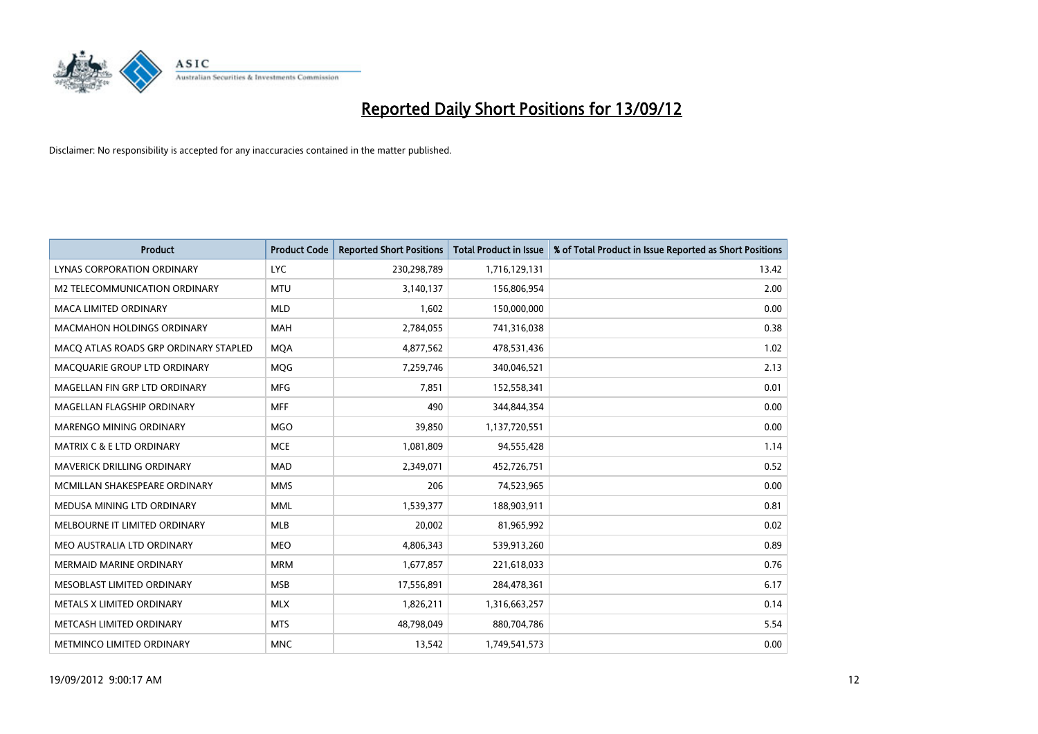

| <b>Product</b>                        | <b>Product Code</b> | <b>Reported Short Positions</b> | <b>Total Product in Issue</b> | % of Total Product in Issue Reported as Short Positions |
|---------------------------------------|---------------------|---------------------------------|-------------------------------|---------------------------------------------------------|
| <b>LYNAS CORPORATION ORDINARY</b>     | <b>LYC</b>          | 230,298,789                     | 1,716,129,131                 | 13.42                                                   |
| M2 TELECOMMUNICATION ORDINARY         | <b>MTU</b>          | 3,140,137                       | 156,806,954                   | 2.00                                                    |
| <b>MACA LIMITED ORDINARY</b>          | <b>MLD</b>          | 1,602                           | 150,000,000                   | 0.00                                                    |
| <b>MACMAHON HOLDINGS ORDINARY</b>     | <b>MAH</b>          | 2,784,055                       | 741,316,038                   | 0.38                                                    |
| MACQ ATLAS ROADS GRP ORDINARY STAPLED | <b>MQA</b>          | 4,877,562                       | 478,531,436                   | 1.02                                                    |
| MACQUARIE GROUP LTD ORDINARY          | <b>MOG</b>          | 7,259,746                       | 340,046,521                   | 2.13                                                    |
| MAGELLAN FIN GRP LTD ORDINARY         | <b>MFG</b>          | 7,851                           | 152,558,341                   | 0.01                                                    |
| MAGELLAN FLAGSHIP ORDINARY            | <b>MFF</b>          | 490                             | 344,844,354                   | 0.00                                                    |
| MARENGO MINING ORDINARY               | <b>MGO</b>          | 39,850                          | 1,137,720,551                 | 0.00                                                    |
| <b>MATRIX C &amp; E LTD ORDINARY</b>  | <b>MCE</b>          | 1,081,809                       | 94,555,428                    | 1.14                                                    |
| <b>MAVERICK DRILLING ORDINARY</b>     | <b>MAD</b>          | 2,349,071                       | 452,726,751                   | 0.52                                                    |
| MCMILLAN SHAKESPEARE ORDINARY         | <b>MMS</b>          | 206                             | 74,523,965                    | 0.00                                                    |
| MEDUSA MINING LTD ORDINARY            | <b>MML</b>          | 1,539,377                       | 188,903,911                   | 0.81                                                    |
| MELBOURNE IT LIMITED ORDINARY         | <b>MLB</b>          | 20,002                          | 81,965,992                    | 0.02                                                    |
| MEO AUSTRALIA LTD ORDINARY            | <b>MEO</b>          | 4,806,343                       | 539,913,260                   | 0.89                                                    |
| <b>MERMAID MARINE ORDINARY</b>        | <b>MRM</b>          | 1,677,857                       | 221,618,033                   | 0.76                                                    |
| MESOBLAST LIMITED ORDINARY            | <b>MSB</b>          | 17,556,891                      | 284,478,361                   | 6.17                                                    |
| METALS X LIMITED ORDINARY             | <b>MLX</b>          | 1,826,211                       | 1,316,663,257                 | 0.14                                                    |
| METCASH LIMITED ORDINARY              | <b>MTS</b>          | 48,798,049                      | 880,704,786                   | 5.54                                                    |
| METMINCO LIMITED ORDINARY             | <b>MNC</b>          | 13,542                          | 1,749,541,573                 | 0.00                                                    |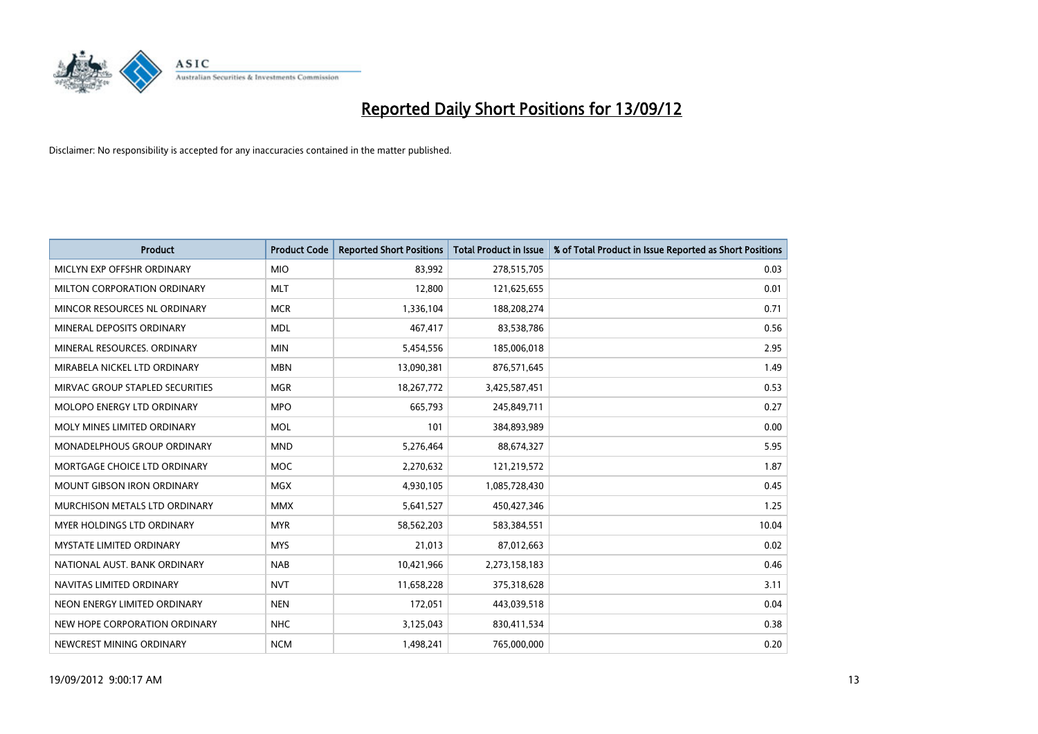

| <b>Product</b>                     | <b>Product Code</b> | <b>Reported Short Positions</b> | <b>Total Product in Issue</b> | % of Total Product in Issue Reported as Short Positions |
|------------------------------------|---------------------|---------------------------------|-------------------------------|---------------------------------------------------------|
| MICLYN EXP OFFSHR ORDINARY         | <b>MIO</b>          | 83,992                          | 278,515,705                   | 0.03                                                    |
| MILTON CORPORATION ORDINARY        | <b>MLT</b>          | 12,800                          | 121,625,655                   | 0.01                                                    |
| MINCOR RESOURCES NL ORDINARY       | <b>MCR</b>          | 1,336,104                       | 188,208,274                   | 0.71                                                    |
| MINERAL DEPOSITS ORDINARY          | <b>MDL</b>          | 467,417                         | 83,538,786                    | 0.56                                                    |
| MINERAL RESOURCES, ORDINARY        | <b>MIN</b>          | 5,454,556                       | 185,006,018                   | 2.95                                                    |
| MIRABELA NICKEL LTD ORDINARY       | <b>MBN</b>          | 13,090,381                      | 876,571,645                   | 1.49                                                    |
| MIRVAC GROUP STAPLED SECURITIES    | <b>MGR</b>          | 18,267,772                      | 3,425,587,451                 | 0.53                                                    |
| MOLOPO ENERGY LTD ORDINARY         | <b>MPO</b>          | 665,793                         | 245,849,711                   | 0.27                                                    |
| MOLY MINES LIMITED ORDINARY        | <b>MOL</b>          | 101                             | 384,893,989                   | 0.00                                                    |
| <b>MONADELPHOUS GROUP ORDINARY</b> | <b>MND</b>          | 5,276,464                       | 88,674,327                    | 5.95                                                    |
| MORTGAGE CHOICE LTD ORDINARY       | <b>MOC</b>          | 2,270,632                       | 121,219,572                   | 1.87                                                    |
| <b>MOUNT GIBSON IRON ORDINARY</b>  | <b>MGX</b>          | 4,930,105                       | 1,085,728,430                 | 0.45                                                    |
| MURCHISON METALS LTD ORDINARY      | <b>MMX</b>          | 5,641,527                       | 450,427,346                   | 1.25                                                    |
| <b>MYER HOLDINGS LTD ORDINARY</b>  | <b>MYR</b>          | 58,562,203                      | 583,384,551                   | 10.04                                                   |
| <b>MYSTATE LIMITED ORDINARY</b>    | <b>MYS</b>          | 21,013                          | 87,012,663                    | 0.02                                                    |
| NATIONAL AUST. BANK ORDINARY       | <b>NAB</b>          | 10,421,966                      | 2,273,158,183                 | 0.46                                                    |
| NAVITAS LIMITED ORDINARY           | <b>NVT</b>          | 11,658,228                      | 375,318,628                   | 3.11                                                    |
| NEON ENERGY LIMITED ORDINARY       | <b>NEN</b>          | 172,051                         | 443,039,518                   | 0.04                                                    |
| NEW HOPE CORPORATION ORDINARY      | NHC                 | 3,125,043                       | 830,411,534                   | 0.38                                                    |
| NEWCREST MINING ORDINARY           | <b>NCM</b>          | 1,498,241                       | 765,000,000                   | 0.20                                                    |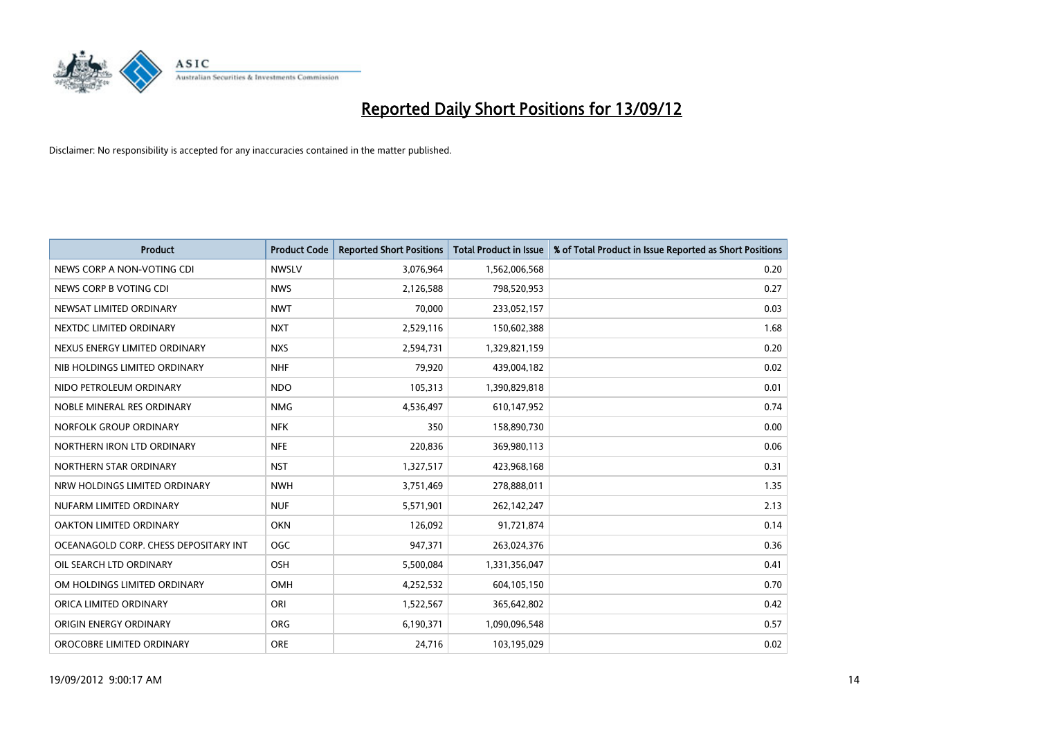

| <b>Product</b>                        | <b>Product Code</b> | <b>Reported Short Positions</b> | <b>Total Product in Issue</b> | % of Total Product in Issue Reported as Short Positions |
|---------------------------------------|---------------------|---------------------------------|-------------------------------|---------------------------------------------------------|
| NEWS CORP A NON-VOTING CDI            | <b>NWSLV</b>        | 3,076,964                       | 1,562,006,568                 | 0.20                                                    |
| NEWS CORP B VOTING CDI                | <b>NWS</b>          | 2,126,588                       | 798,520,953                   | 0.27                                                    |
| NEWSAT LIMITED ORDINARY               | <b>NWT</b>          | 70,000                          | 233,052,157                   | 0.03                                                    |
| NEXTDC LIMITED ORDINARY               | <b>NXT</b>          | 2,529,116                       | 150,602,388                   | 1.68                                                    |
| NEXUS ENERGY LIMITED ORDINARY         | <b>NXS</b>          | 2,594,731                       | 1,329,821,159                 | 0.20                                                    |
| NIB HOLDINGS LIMITED ORDINARY         | <b>NHF</b>          | 79,920                          | 439,004,182                   | 0.02                                                    |
| NIDO PETROLEUM ORDINARY               | <b>NDO</b>          | 105,313                         | 1,390,829,818                 | 0.01                                                    |
| NOBLE MINERAL RES ORDINARY            | <b>NMG</b>          | 4,536,497                       | 610,147,952                   | 0.74                                                    |
| NORFOLK GROUP ORDINARY                | <b>NFK</b>          | 350                             | 158,890,730                   | 0.00                                                    |
| NORTHERN IRON LTD ORDINARY            | <b>NFE</b>          | 220,836                         | 369,980,113                   | 0.06                                                    |
| NORTHERN STAR ORDINARY                | <b>NST</b>          | 1,327,517                       | 423,968,168                   | 0.31                                                    |
| NRW HOLDINGS LIMITED ORDINARY         | <b>NWH</b>          | 3,751,469                       | 278,888,011                   | 1.35                                                    |
| NUFARM LIMITED ORDINARY               | <b>NUF</b>          | 5,571,901                       | 262,142,247                   | 2.13                                                    |
| OAKTON LIMITED ORDINARY               | <b>OKN</b>          | 126,092                         | 91,721,874                    | 0.14                                                    |
| OCEANAGOLD CORP. CHESS DEPOSITARY INT | <b>OGC</b>          | 947,371                         | 263,024,376                   | 0.36                                                    |
| OIL SEARCH LTD ORDINARY               | OSH                 | 5,500,084                       | 1,331,356,047                 | 0.41                                                    |
| OM HOLDINGS LIMITED ORDINARY          | OMH                 | 4,252,532                       | 604,105,150                   | 0.70                                                    |
| ORICA LIMITED ORDINARY                | ORI                 | 1,522,567                       | 365,642,802                   | 0.42                                                    |
| ORIGIN ENERGY ORDINARY                | <b>ORG</b>          | 6,190,371                       | 1,090,096,548                 | 0.57                                                    |
| OROCOBRE LIMITED ORDINARY             | <b>ORE</b>          | 24,716                          | 103,195,029                   | 0.02                                                    |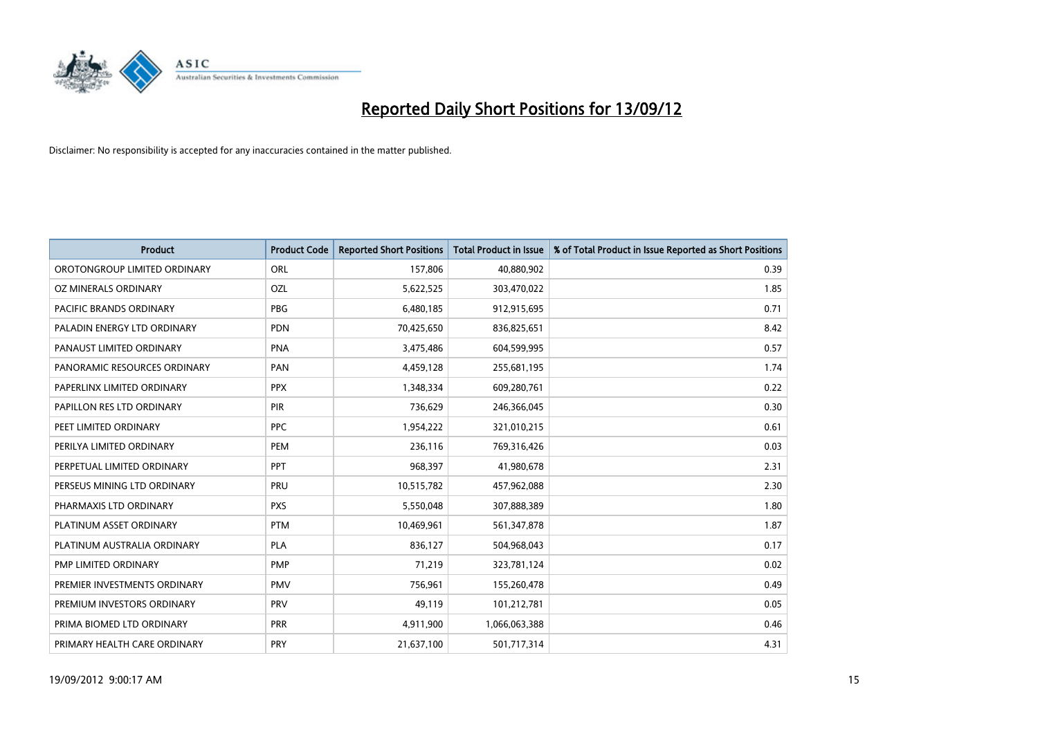

| <b>Product</b>               | <b>Product Code</b> | <b>Reported Short Positions</b> | <b>Total Product in Issue</b> | % of Total Product in Issue Reported as Short Positions |
|------------------------------|---------------------|---------------------------------|-------------------------------|---------------------------------------------------------|
| OROTONGROUP LIMITED ORDINARY | <b>ORL</b>          | 157,806                         | 40,880,902                    | 0.39                                                    |
| OZ MINERALS ORDINARY         | OZL                 | 5,622,525                       | 303,470,022                   | 1.85                                                    |
| PACIFIC BRANDS ORDINARY      | <b>PBG</b>          | 6,480,185                       | 912,915,695                   | 0.71                                                    |
| PALADIN ENERGY LTD ORDINARY  | <b>PDN</b>          | 70,425,650                      | 836,825,651                   | 8.42                                                    |
| PANAUST LIMITED ORDINARY     | <b>PNA</b>          | 3,475,486                       | 604,599,995                   | 0.57                                                    |
| PANORAMIC RESOURCES ORDINARY | PAN                 | 4,459,128                       | 255,681,195                   | 1.74                                                    |
| PAPERLINX LIMITED ORDINARY   | <b>PPX</b>          | 1,348,334                       | 609,280,761                   | 0.22                                                    |
| PAPILLON RES LTD ORDINARY    | PIR                 | 736,629                         | 246,366,045                   | 0.30                                                    |
| PEET LIMITED ORDINARY        | <b>PPC</b>          | 1,954,222                       | 321,010,215                   | 0.61                                                    |
| PERILYA LIMITED ORDINARY     | PEM                 | 236,116                         | 769,316,426                   | 0.03                                                    |
| PERPETUAL LIMITED ORDINARY   | <b>PPT</b>          | 968,397                         | 41,980,678                    | 2.31                                                    |
| PERSEUS MINING LTD ORDINARY  | PRU                 | 10,515,782                      | 457,962,088                   | 2.30                                                    |
| PHARMAXIS LTD ORDINARY       | <b>PXS</b>          | 5,550,048                       | 307,888,389                   | 1.80                                                    |
| PLATINUM ASSET ORDINARY      | <b>PTM</b>          | 10,469,961                      | 561,347,878                   | 1.87                                                    |
| PLATINUM AUSTRALIA ORDINARY  | PLA                 | 836,127                         | 504,968,043                   | 0.17                                                    |
| PMP LIMITED ORDINARY         | <b>PMP</b>          | 71,219                          | 323,781,124                   | 0.02                                                    |
| PREMIER INVESTMENTS ORDINARY | <b>PMV</b>          | 756,961                         | 155,260,478                   | 0.49                                                    |
| PREMIUM INVESTORS ORDINARY   | <b>PRV</b>          | 49,119                          | 101,212,781                   | 0.05                                                    |
| PRIMA BIOMED LTD ORDINARY    | <b>PRR</b>          | 4,911,900                       | 1,066,063,388                 | 0.46                                                    |
| PRIMARY HEALTH CARE ORDINARY | <b>PRY</b>          | 21,637,100                      | 501,717,314                   | 4.31                                                    |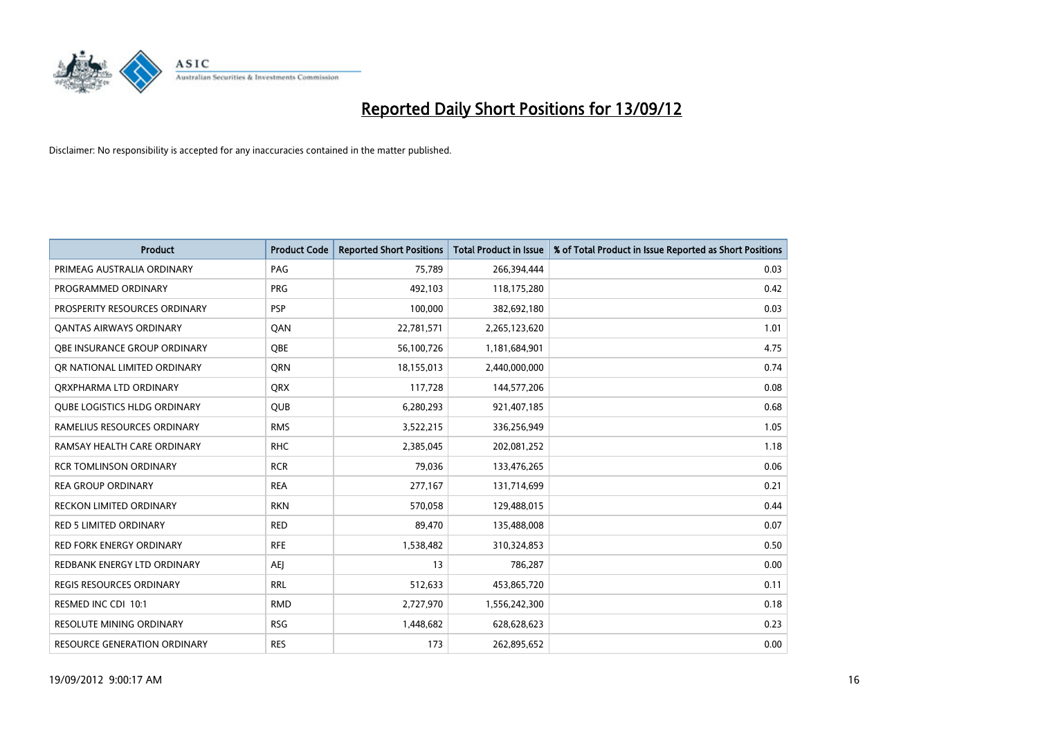

| <b>Product</b>                      | <b>Product Code</b> | <b>Reported Short Positions</b> | <b>Total Product in Issue</b> | % of Total Product in Issue Reported as Short Positions |
|-------------------------------------|---------------------|---------------------------------|-------------------------------|---------------------------------------------------------|
| PRIMEAG AUSTRALIA ORDINARY          | PAG                 | 75,789                          | 266,394,444                   | 0.03                                                    |
| PROGRAMMED ORDINARY                 | <b>PRG</b>          | 492,103                         | 118,175,280                   | 0.42                                                    |
| PROSPERITY RESOURCES ORDINARY       | <b>PSP</b>          | 100,000                         | 382,692,180                   | 0.03                                                    |
| <b>QANTAS AIRWAYS ORDINARY</b>      | QAN                 | 22,781,571                      | 2,265,123,620                 | 1.01                                                    |
| <b>OBE INSURANCE GROUP ORDINARY</b> | <b>OBE</b>          | 56,100,726                      | 1,181,684,901                 | 4.75                                                    |
| OR NATIONAL LIMITED ORDINARY        | <b>ORN</b>          | 18,155,013                      | 2,440,000,000                 | 0.74                                                    |
| ORXPHARMA LTD ORDINARY              | <b>QRX</b>          | 117,728                         | 144,577,206                   | 0.08                                                    |
| <b>QUBE LOGISTICS HLDG ORDINARY</b> | QUB                 | 6,280,293                       | 921,407,185                   | 0.68                                                    |
| RAMELIUS RESOURCES ORDINARY         | <b>RMS</b>          | 3,522,215                       | 336,256,949                   | 1.05                                                    |
| RAMSAY HEALTH CARE ORDINARY         | <b>RHC</b>          | 2,385,045                       | 202,081,252                   | 1.18                                                    |
| <b>RCR TOMLINSON ORDINARY</b>       | <b>RCR</b>          | 79,036                          | 133,476,265                   | 0.06                                                    |
| <b>REA GROUP ORDINARY</b>           | <b>REA</b>          | 277,167                         | 131,714,699                   | 0.21                                                    |
| RECKON LIMITED ORDINARY             | <b>RKN</b>          | 570,058                         | 129,488,015                   | 0.44                                                    |
| <b>RED 5 LIMITED ORDINARY</b>       | <b>RED</b>          | 89,470                          | 135,488,008                   | 0.07                                                    |
| <b>RED FORK ENERGY ORDINARY</b>     | <b>RFE</b>          | 1,538,482                       | 310,324,853                   | 0.50                                                    |
| REDBANK ENERGY LTD ORDINARY         | AEI                 | 13                              | 786,287                       | 0.00                                                    |
| REGIS RESOURCES ORDINARY            | <b>RRL</b>          | 512,633                         | 453,865,720                   | 0.11                                                    |
| RESMED INC CDI 10:1                 | <b>RMD</b>          | 2,727,970                       | 1,556,242,300                 | 0.18                                                    |
| <b>RESOLUTE MINING ORDINARY</b>     | <b>RSG</b>          | 1,448,682                       | 628,628,623                   | 0.23                                                    |
| RESOURCE GENERATION ORDINARY        | <b>RES</b>          | 173                             | 262,895,652                   | 0.00                                                    |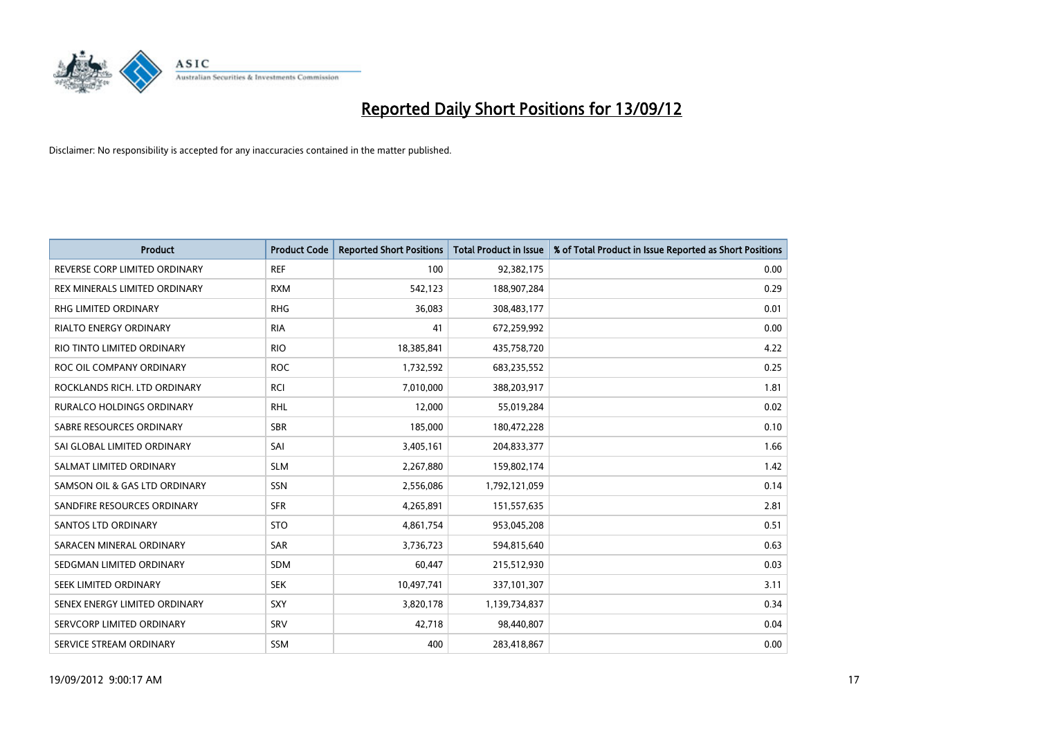

| <b>Product</b>                       | <b>Product Code</b> | <b>Reported Short Positions</b> | <b>Total Product in Issue</b> | % of Total Product in Issue Reported as Short Positions |
|--------------------------------------|---------------------|---------------------------------|-------------------------------|---------------------------------------------------------|
| REVERSE CORP LIMITED ORDINARY        | <b>REF</b>          | 100                             | 92,382,175                    | 0.00                                                    |
| <b>REX MINERALS LIMITED ORDINARY</b> | <b>RXM</b>          | 542,123                         | 188,907,284                   | 0.29                                                    |
| <b>RHG LIMITED ORDINARY</b>          | <b>RHG</b>          | 36,083                          | 308,483,177                   | 0.01                                                    |
| RIALTO ENERGY ORDINARY               | <b>RIA</b>          | 41                              | 672,259,992                   | 0.00                                                    |
| RIO TINTO LIMITED ORDINARY           | <b>RIO</b>          | 18,385,841                      | 435,758,720                   | 4.22                                                    |
| ROC OIL COMPANY ORDINARY             | <b>ROC</b>          | 1,732,592                       | 683,235,552                   | 0.25                                                    |
| ROCKLANDS RICH. LTD ORDINARY         | <b>RCI</b>          | 7,010,000                       | 388,203,917                   | 1.81                                                    |
| RURALCO HOLDINGS ORDINARY            | <b>RHL</b>          | 12,000                          | 55,019,284                    | 0.02                                                    |
| SABRE RESOURCES ORDINARY             | <b>SBR</b>          | 185,000                         | 180,472,228                   | 0.10                                                    |
| SAI GLOBAL LIMITED ORDINARY          | SAI                 | 3,405,161                       | 204,833,377                   | 1.66                                                    |
| SALMAT LIMITED ORDINARY              | <b>SLM</b>          | 2,267,880                       | 159,802,174                   | 1.42                                                    |
| SAMSON OIL & GAS LTD ORDINARY        | <b>SSN</b>          | 2,556,086                       | 1,792,121,059                 | 0.14                                                    |
| SANDFIRE RESOURCES ORDINARY          | <b>SFR</b>          | 4,265,891                       | 151,557,635                   | 2.81                                                    |
| <b>SANTOS LTD ORDINARY</b>           | <b>STO</b>          | 4,861,754                       | 953,045,208                   | 0.51                                                    |
| SARACEN MINERAL ORDINARY             | SAR                 | 3,736,723                       | 594,815,640                   | 0.63                                                    |
| SEDGMAN LIMITED ORDINARY             | <b>SDM</b>          | 60,447                          | 215,512,930                   | 0.03                                                    |
| SEEK LIMITED ORDINARY                | <b>SEK</b>          | 10,497,741                      | 337,101,307                   | 3.11                                                    |
| SENEX ENERGY LIMITED ORDINARY        | <b>SXY</b>          | 3,820,178                       | 1,139,734,837                 | 0.34                                                    |
| SERVCORP LIMITED ORDINARY            | SRV                 | 42,718                          | 98,440,807                    | 0.04                                                    |
| SERVICE STREAM ORDINARY              | <b>SSM</b>          | 400                             | 283,418,867                   | 0.00                                                    |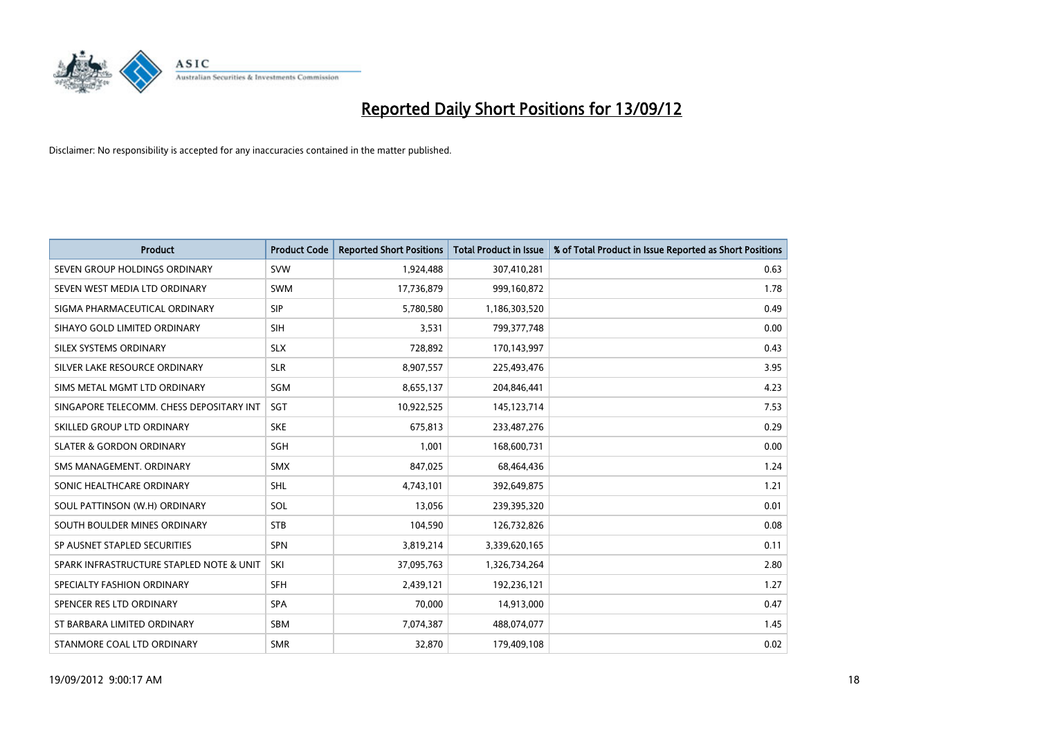

| <b>Product</b>                           | <b>Product Code</b> | <b>Reported Short Positions</b> | <b>Total Product in Issue</b> | % of Total Product in Issue Reported as Short Positions |
|------------------------------------------|---------------------|---------------------------------|-------------------------------|---------------------------------------------------------|
| SEVEN GROUP HOLDINGS ORDINARY            | <b>SVW</b>          | 1,924,488                       | 307,410,281                   | 0.63                                                    |
| SEVEN WEST MEDIA LTD ORDINARY            | <b>SWM</b>          | 17,736,879                      | 999,160,872                   | 1.78                                                    |
| SIGMA PHARMACEUTICAL ORDINARY            | <b>SIP</b>          | 5,780,580                       | 1,186,303,520                 | 0.49                                                    |
| SIHAYO GOLD LIMITED ORDINARY             | <b>SIH</b>          | 3,531                           | 799, 377, 748                 | 0.00                                                    |
| SILEX SYSTEMS ORDINARY                   | <b>SLX</b>          | 728,892                         | 170,143,997                   | 0.43                                                    |
| SILVER LAKE RESOURCE ORDINARY            | <b>SLR</b>          | 8,907,557                       | 225,493,476                   | 3.95                                                    |
| SIMS METAL MGMT LTD ORDINARY             | SGM                 | 8,655,137                       | 204,846,441                   | 4.23                                                    |
| SINGAPORE TELECOMM. CHESS DEPOSITARY INT | <b>SGT</b>          | 10,922,525                      | 145, 123, 714                 | 7.53                                                    |
| SKILLED GROUP LTD ORDINARY               | <b>SKE</b>          | 675.813                         | 233,487,276                   | 0.29                                                    |
| <b>SLATER &amp; GORDON ORDINARY</b>      | <b>SGH</b>          | 1,001                           | 168,600,731                   | 0.00                                                    |
| SMS MANAGEMENT. ORDINARY                 | <b>SMX</b>          | 847,025                         | 68,464,436                    | 1.24                                                    |
| SONIC HEALTHCARE ORDINARY                | <b>SHL</b>          | 4,743,101                       | 392,649,875                   | 1.21                                                    |
| SOUL PATTINSON (W.H) ORDINARY            | SOL                 | 13,056                          | 239,395,320                   | 0.01                                                    |
| SOUTH BOULDER MINES ORDINARY             | <b>STB</b>          | 104,590                         | 126,732,826                   | 0.08                                                    |
| SP AUSNET STAPLED SECURITIES             | <b>SPN</b>          | 3,819,214                       | 3,339,620,165                 | 0.11                                                    |
| SPARK INFRASTRUCTURE STAPLED NOTE & UNIT | SKI                 | 37,095,763                      | 1,326,734,264                 | 2.80                                                    |
| SPECIALTY FASHION ORDINARY               | <b>SFH</b>          | 2,439,121                       | 192,236,121                   | 1.27                                                    |
| SPENCER RES LTD ORDINARY                 | <b>SPA</b>          | 70,000                          | 14,913,000                    | 0.47                                                    |
| ST BARBARA LIMITED ORDINARY              | <b>SBM</b>          | 7,074,387                       | 488,074,077                   | 1.45                                                    |
| STANMORE COAL LTD ORDINARY               | <b>SMR</b>          | 32,870                          | 179,409,108                   | 0.02                                                    |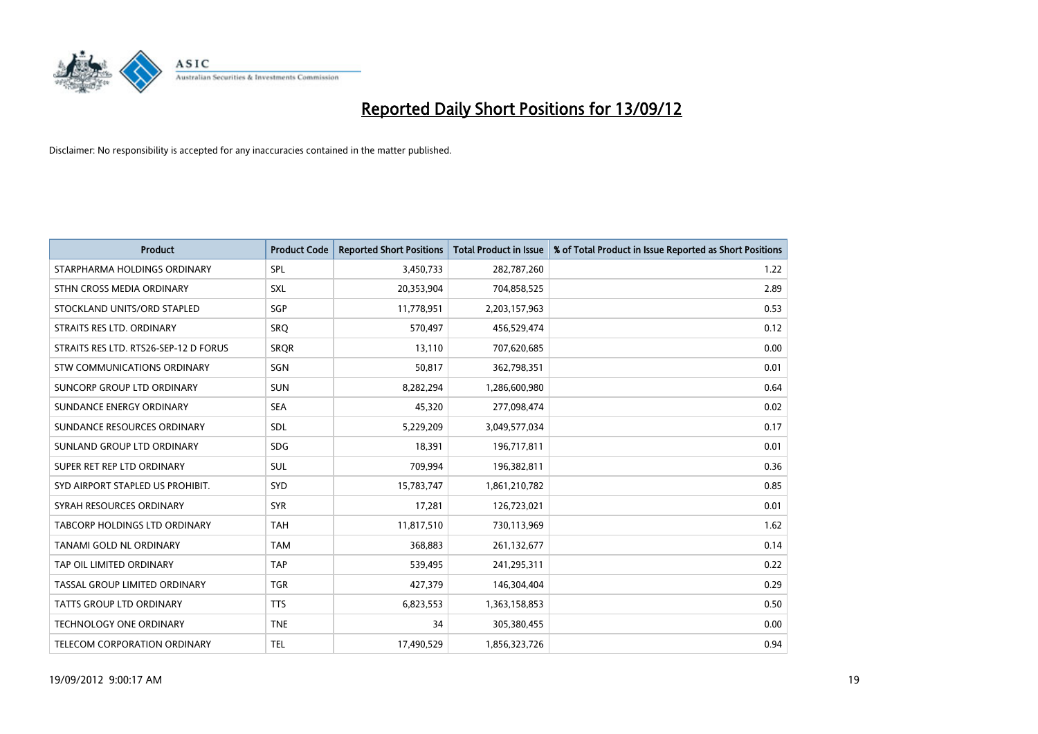

| <b>Product</b>                        | <b>Product Code</b> | <b>Reported Short Positions</b> | <b>Total Product in Issue</b> | % of Total Product in Issue Reported as Short Positions |
|---------------------------------------|---------------------|---------------------------------|-------------------------------|---------------------------------------------------------|
| STARPHARMA HOLDINGS ORDINARY          | SPL                 | 3,450,733                       | 282,787,260                   | 1.22                                                    |
| STHN CROSS MEDIA ORDINARY             | <b>SXL</b>          | 20,353,904                      | 704,858,525                   | 2.89                                                    |
| STOCKLAND UNITS/ORD STAPLED           | <b>SGP</b>          | 11,778,951                      | 2,203,157,963                 | 0.53                                                    |
| STRAITS RES LTD. ORDINARY             | SRO                 | 570,497                         | 456,529,474                   | 0.12                                                    |
| STRAITS RES LTD. RTS26-SEP-12 D FORUS | <b>SROR</b>         | 13,110                          | 707,620,685                   | 0.00                                                    |
| <b>STW COMMUNICATIONS ORDINARY</b>    | SGN                 | 50,817                          | 362,798,351                   | 0.01                                                    |
| SUNCORP GROUP LTD ORDINARY            | <b>SUN</b>          | 8,282,294                       | 1,286,600,980                 | 0.64                                                    |
| SUNDANCE ENERGY ORDINARY              | <b>SEA</b>          | 45,320                          | 277,098,474                   | 0.02                                                    |
| SUNDANCE RESOURCES ORDINARY           | SDL                 | 5,229,209                       | 3,049,577,034                 | 0.17                                                    |
| SUNLAND GROUP LTD ORDINARY            | <b>SDG</b>          | 18,391                          | 196,717,811                   | 0.01                                                    |
| SUPER RET REP LTD ORDINARY            | <b>SUL</b>          | 709,994                         | 196,382,811                   | 0.36                                                    |
| SYD AIRPORT STAPLED US PROHIBIT.      | <b>SYD</b>          | 15,783,747                      | 1,861,210,782                 | 0.85                                                    |
| SYRAH RESOURCES ORDINARY              | <b>SYR</b>          | 17,281                          | 126,723,021                   | 0.01                                                    |
| <b>TABCORP HOLDINGS LTD ORDINARY</b>  | <b>TAH</b>          | 11,817,510                      | 730,113,969                   | 1.62                                                    |
| TANAMI GOLD NL ORDINARY               | <b>TAM</b>          | 368,883                         | 261,132,677                   | 0.14                                                    |
| TAP OIL LIMITED ORDINARY              | <b>TAP</b>          | 539,495                         | 241,295,311                   | 0.22                                                    |
| TASSAL GROUP LIMITED ORDINARY         | <b>TGR</b>          | 427,379                         | 146,304,404                   | 0.29                                                    |
| TATTS GROUP LTD ORDINARY              | <b>TTS</b>          | 6,823,553                       | 1,363,158,853                 | 0.50                                                    |
| <b>TECHNOLOGY ONE ORDINARY</b>        | <b>TNE</b>          | 34                              | 305,380,455                   | 0.00                                                    |
| TELECOM CORPORATION ORDINARY          | <b>TEL</b>          | 17,490,529                      | 1,856,323,726                 | 0.94                                                    |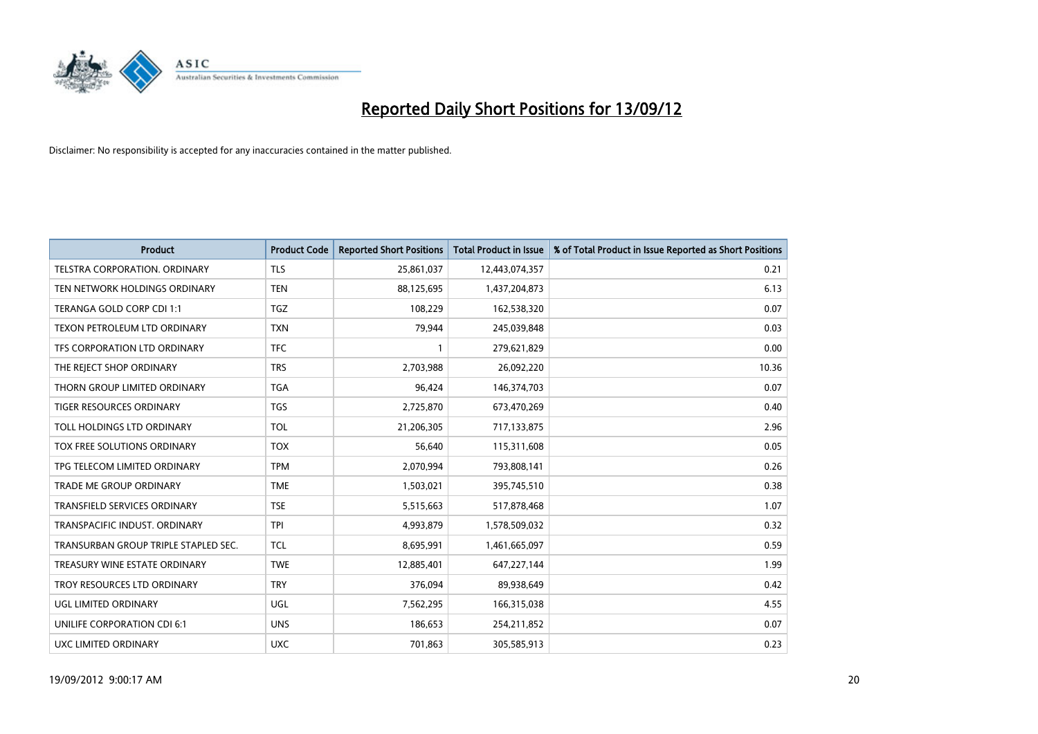

| <b>Product</b>                       | <b>Product Code</b> | <b>Reported Short Positions</b> | <b>Total Product in Issue</b> | % of Total Product in Issue Reported as Short Positions |
|--------------------------------------|---------------------|---------------------------------|-------------------------------|---------------------------------------------------------|
| <b>TELSTRA CORPORATION, ORDINARY</b> | <b>TLS</b>          | 25,861,037                      | 12,443,074,357                | 0.21                                                    |
| TEN NETWORK HOLDINGS ORDINARY        | <b>TEN</b>          | 88,125,695                      | 1,437,204,873                 | 6.13                                                    |
| TERANGA GOLD CORP CDI 1:1            | <b>TGZ</b>          | 108,229                         | 162,538,320                   | 0.07                                                    |
| TEXON PETROLEUM LTD ORDINARY         | <b>TXN</b>          | 79,944                          | 245,039,848                   | 0.03                                                    |
| TFS CORPORATION LTD ORDINARY         | <b>TFC</b>          |                                 | 279,621,829                   | 0.00                                                    |
| THE REJECT SHOP ORDINARY             | <b>TRS</b>          | 2,703,988                       | 26,092,220                    | 10.36                                                   |
| THORN GROUP LIMITED ORDINARY         | <b>TGA</b>          | 96,424                          | 146,374,703                   | 0.07                                                    |
| TIGER RESOURCES ORDINARY             | <b>TGS</b>          | 2,725,870                       | 673,470,269                   | 0.40                                                    |
| TOLL HOLDINGS LTD ORDINARY           | TOL                 | 21,206,305                      | 717,133,875                   | 2.96                                                    |
| <b>TOX FREE SOLUTIONS ORDINARY</b>   | <b>TOX</b>          | 56,640                          | 115,311,608                   | 0.05                                                    |
| TPG TELECOM LIMITED ORDINARY         | <b>TPM</b>          | 2,070,994                       | 793,808,141                   | 0.26                                                    |
| TRADE ME GROUP ORDINARY              | <b>TME</b>          | 1,503,021                       | 395,745,510                   | 0.38                                                    |
| TRANSFIELD SERVICES ORDINARY         | <b>TSE</b>          | 5,515,663                       | 517,878,468                   | 1.07                                                    |
| TRANSPACIFIC INDUST, ORDINARY        | <b>TPI</b>          | 4,993,879                       | 1,578,509,032                 | 0.32                                                    |
| TRANSURBAN GROUP TRIPLE STAPLED SEC. | <b>TCL</b>          | 8,695,991                       | 1,461,665,097                 | 0.59                                                    |
| TREASURY WINE ESTATE ORDINARY        | <b>TWE</b>          | 12,885,401                      | 647,227,144                   | 1.99                                                    |
| TROY RESOURCES LTD ORDINARY          | <b>TRY</b>          | 376,094                         | 89,938,649                    | 0.42                                                    |
| UGL LIMITED ORDINARY                 | UGL                 | 7,562,295                       | 166,315,038                   | 4.55                                                    |
| UNILIFE CORPORATION CDI 6:1          | <b>UNS</b>          | 186,653                         | 254,211,852                   | 0.07                                                    |
| UXC LIMITED ORDINARY                 | <b>UXC</b>          | 701,863                         | 305,585,913                   | 0.23                                                    |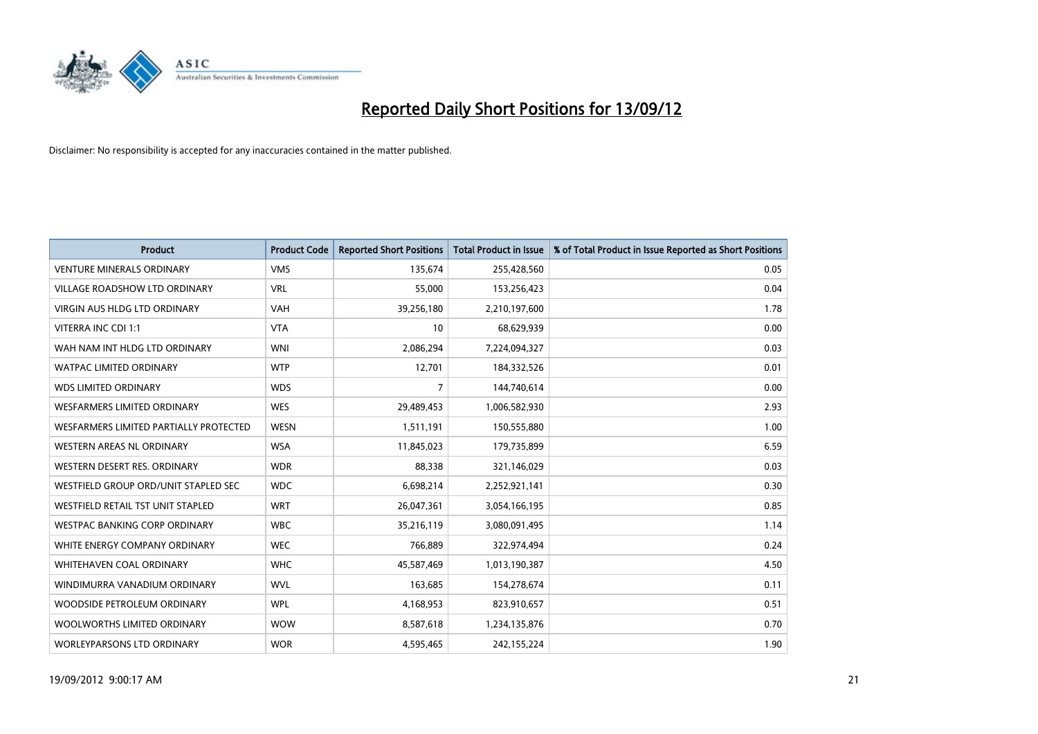

| <b>Product</b>                           | <b>Product Code</b> | <b>Reported Short Positions</b> | <b>Total Product in Issue</b> | % of Total Product in Issue Reported as Short Positions |
|------------------------------------------|---------------------|---------------------------------|-------------------------------|---------------------------------------------------------|
| <b>VENTURE MINERALS ORDINARY</b>         | <b>VMS</b>          | 135.674                         | 255,428,560                   | 0.05                                                    |
| <b>VILLAGE ROADSHOW LTD ORDINARY</b>     | <b>VRL</b>          | 55,000                          | 153,256,423                   | 0.04                                                    |
| <b>VIRGIN AUS HLDG LTD ORDINARY</b>      | <b>VAH</b>          | 39,256,180                      | 2,210,197,600                 | 1.78                                                    |
| VITERRA INC CDI 1:1                      | <b>VTA</b>          | 10                              | 68,629,939                    | 0.00                                                    |
| WAH NAM INT HLDG LTD ORDINARY            | <b>WNI</b>          | 2,086,294                       | 7,224,094,327                 | 0.03                                                    |
| <b>WATPAC LIMITED ORDINARY</b>           | <b>WTP</b>          | 12,701                          | 184,332,526                   | 0.01                                                    |
| <b>WDS LIMITED ORDINARY</b>              | <b>WDS</b>          | 7                               | 144,740,614                   | 0.00                                                    |
| <b>WESFARMERS LIMITED ORDINARY</b>       | <b>WES</b>          | 29,489,453                      | 1,006,582,930                 | 2.93                                                    |
| WESFARMERS LIMITED PARTIALLY PROTECTED   | <b>WESN</b>         | 1,511,191                       | 150,555,880                   | 1.00                                                    |
| <b>WESTERN AREAS NL ORDINARY</b>         | <b>WSA</b>          | 11,845,023                      | 179,735,899                   | 6.59                                                    |
| WESTERN DESERT RES. ORDINARY             | <b>WDR</b>          | 88,338                          | 321,146,029                   | 0.03                                                    |
| WESTFIELD GROUP ORD/UNIT STAPLED SEC     | <b>WDC</b>          | 6,698,214                       | 2,252,921,141                 | 0.30                                                    |
| <b>WESTFIELD RETAIL TST UNIT STAPLED</b> | <b>WRT</b>          | 26,047,361                      | 3,054,166,195                 | 0.85                                                    |
| <b>WESTPAC BANKING CORP ORDINARY</b>     | <b>WBC</b>          | 35,216,119                      | 3,080,091,495                 | 1.14                                                    |
| WHITE ENERGY COMPANY ORDINARY            | <b>WEC</b>          | 766,889                         | 322,974,494                   | 0.24                                                    |
| <b>WHITEHAVEN COAL ORDINARY</b>          | <b>WHC</b>          | 45,587,469                      | 1,013,190,387                 | 4.50                                                    |
| WINDIMURRA VANADIUM ORDINARY             | <b>WVL</b>          | 163,685                         | 154,278,674                   | 0.11                                                    |
| WOODSIDE PETROLEUM ORDINARY              | <b>WPL</b>          | 4,168,953                       | 823,910,657                   | 0.51                                                    |
| WOOLWORTHS LIMITED ORDINARY              | <b>WOW</b>          | 8,587,618                       | 1,234,135,876                 | 0.70                                                    |
| <b>WORLEYPARSONS LTD ORDINARY</b>        | <b>WOR</b>          | 4,595,465                       | 242,155,224                   | 1.90                                                    |